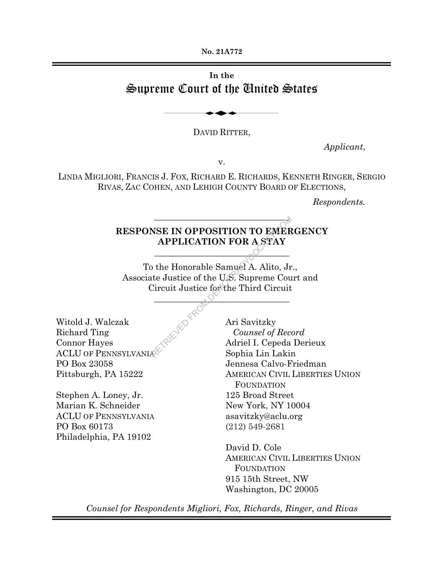**No. 21A772**



DAVID RITTER,

*Applicant*,

v.

LINDA MIGLIORI, FRANCIS J. FOX, RICHARD E. RICHARDS, KENNETH RINGER, SERGIO RIVAS, ZAC COHEN, AND LEHIGH COUNTY BOARD OF ELECTIONS,

*Respondents.*

### **RESPONSE IN OPPOSITION TO EMERGENCY APPLICATION FOR A STAY**

**\_\_\_\_\_\_\_\_\_\_\_\_\_\_\_\_\_\_\_\_\_\_\_\_\_\_\_\_\_\_\_** 

**\_\_\_\_\_\_\_\_\_\_\_\_\_\_\_\_\_\_\_\_\_\_\_\_\_\_\_\_\_\_\_** 

To the Honorable Samuel A. Alito, Jr., Associate Justice of the U.S. Supreme Court and Circuit Justice for the Third Circuit NSE IN OPPOSITION TO EMER<br>
APPLICATION FOR A STAY<br>
b the Honorable Samuel A. Alito, Jr<br>
the Justice of the U.S. Supreme Cou<br>
Circuit Justice for the Third Circuit<br>
Ari Savitzky<br>
Counsel of Rece<br>
Adriel I. Cepeda<br>
Sophia Li

**\_\_\_\_\_\_\_\_\_\_\_\_\_\_\_\_\_\_\_\_\_\_\_\_\_\_\_\_\_\_\_** 

Witold J. Walczak Richard Ting Connor Hayes **ACLU OF PENNSYLVANI** PO Box 23058 Pittsburgh, PA 15222

Stephen A. Loney, Jr. Marian K. Schneider ACLU OF PENNSYLVANIA PO Box 60173 Philadelphia, PA 19102

Ari Savitzky  *Counsel of Record* Adriel I. Cepeda Derieux Sophia Lin Lakin Jennesa Calvo-Friedman AMERICAN CIVIL LIBERTIES UNION **FOUNDATION** 125 Broad Street New York, NY 10004 asavitzky@aclu.org (212) 549-2681

David D. Cole AMERICAN CIVIL LIBERTIES UNION FOUNDATION 915 15th Street, NW Washington, DC 20005

*Counsel for Respondents Migliori, Fox, Richards, Ringer, and Rivas*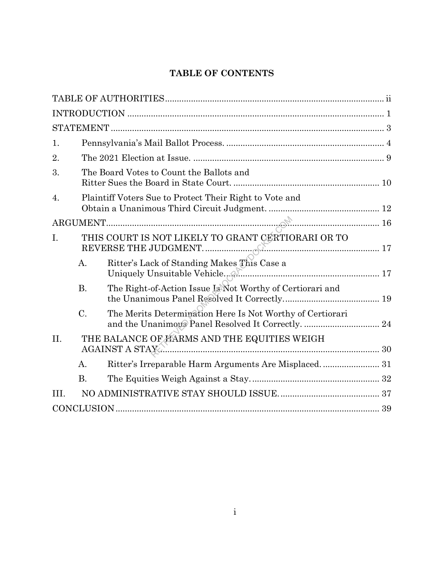# **TABLE OF CONTENTS**

|      | STATEMENT.                                         |                                                               |  |
|------|----------------------------------------------------|---------------------------------------------------------------|--|
| 1.   |                                                    |                                                               |  |
| 2.   |                                                    |                                                               |  |
| 3.   |                                                    | The Board Votes to Count the Ballots and                      |  |
| 4.   |                                                    | Plaintiff Voters Sue to Protect Their Right to Vote and       |  |
|      |                                                    |                                                               |  |
| I.   | THIS COURT IS NOT LIKELY TO GRANT CERTIORARI OR TO |                                                               |  |
|      | A.                                                 | Ritter's Lack of Standing Makes This Case a                   |  |
|      | <b>B.</b>                                          | The Right-of-Action Issue Is Not Worthy of Certiorari and     |  |
|      | $C$ .                                              | The Merits Determination Here Is Not Worthy of Certiorari     |  |
| II.  |                                                    | THE BALANCE OF FARMS AND THE EQUITIES WEIGH<br>AGAINST A STAX |  |
|      | А.                                                 | Ritter's Irreparable Harm Arguments Are Misplaced 31          |  |
|      | <b>B.</b>                                          |                                                               |  |
| III. |                                                    |                                                               |  |
|      |                                                    |                                                               |  |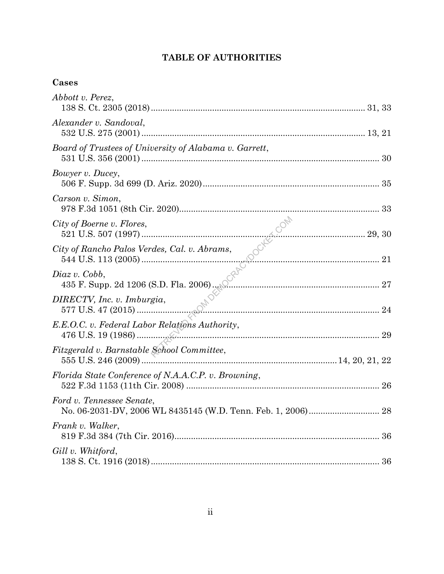# **TABLE OF AUTHORITIES**

### **Cases**

| Abbott v. Perez,                                       |  |
|--------------------------------------------------------|--|
| Alexander v. Sandoval,                                 |  |
| Board of Trustees of University of Alabama v. Garrett, |  |
| Bowyer v. Ducey,                                       |  |
| Carson v. Simon,                                       |  |
| City of Boerne v. Flores,                              |  |
| City of Rancho Palos Verdes, Cal. v. Abrams,           |  |
| Diaz v. Cobb,                                          |  |
|                                                        |  |
| E.E.O.C. v. Federal Labor Relations Authority,         |  |
| Fitzgerald v. Barnstable School Committee,             |  |
| Florida State Conference of N.A.A.C.P. v. Browning,    |  |
| Ford v. Tennessee Senate,                              |  |
| Frank v. Walker,                                       |  |
| Gill v. Whitford,                                      |  |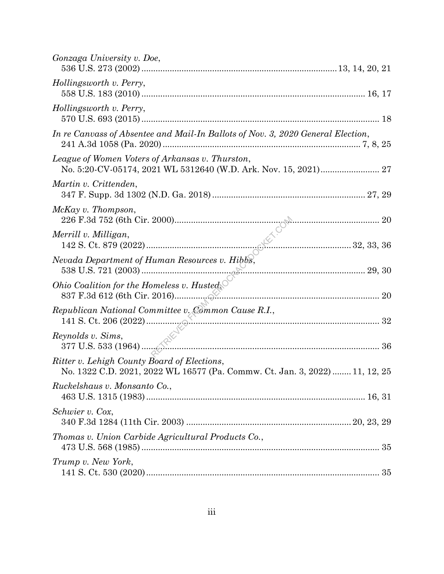| Gonzaga University v. Doe,                                                                                                 |  |
|----------------------------------------------------------------------------------------------------------------------------|--|
| Hollingsworth v. Perry,                                                                                                    |  |
| Hollingsworth v. Perry,                                                                                                    |  |
| In re Canvass of Absentee and Mail-In Ballots of Nov. 3, 2020 General Election,                                            |  |
| League of Women Voters of Arkansas v. Thurston,                                                                            |  |
| Martin v. Crittenden,                                                                                                      |  |
| McKay v. Thompson,                                                                                                         |  |
| Merrill v. Milligan,                                                                                                       |  |
| Nevada Department of Human Resources v. Hibbs,                                                                             |  |
| Ohio Coalition for the Homeless v. Husted                                                                                  |  |
| Republican National Committee v. Common Cause R.I.,                                                                        |  |
| Reynolds v. Sims,                                                                                                          |  |
| Ritter v. Lehigh County Board of Elections,<br>No. 1322 C.D. 2021, 2022 WL 16577 (Pa. Commw. Ct. Jan. 3, 2022)  11, 12, 25 |  |
| Ruckelshaus v. Monsanto Co.,                                                                                               |  |
| Schwier v. Cox,                                                                                                            |  |
| Thomas v. Union Carbide Agricultural Products Co.,                                                                         |  |
| Trump v. New York,                                                                                                         |  |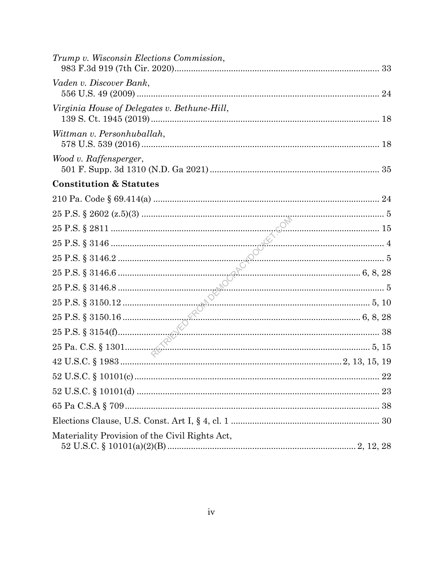| Trump v. Wisconsin Elections Commission,       |    |
|------------------------------------------------|----|
| Vaden v. Discover Bank,                        |    |
| Virginia House of Delegates v. Bethune-Hill,   |    |
| Wittman v. Personhuballah,                     |    |
| Wood v. Raffensperger,                         |    |
| <b>Constitution &amp; Statutes</b>             |    |
|                                                |    |
|                                                |    |
|                                                |    |
|                                                |    |
|                                                |    |
|                                                |    |
|                                                |    |
|                                                |    |
|                                                |    |
|                                                |    |
|                                                |    |
|                                                |    |
|                                                | 22 |
|                                                |    |
|                                                |    |
|                                                |    |
| Materiality Provision of the Civil Rights Act, |    |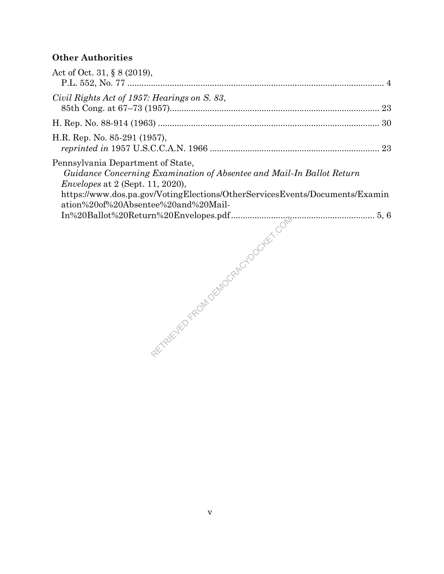# **Other Authorities**

| Act of Oct. 31, $\S 8(2019)$ ,                                                                                                                                                                                                                                                |  |
|-------------------------------------------------------------------------------------------------------------------------------------------------------------------------------------------------------------------------------------------------------------------------------|--|
| Civil Rights Act of 1957: Hearings on S. 83,                                                                                                                                                                                                                                  |  |
|                                                                                                                                                                                                                                                                               |  |
| H.R. Rep. No. 85-291 (1957),                                                                                                                                                                                                                                                  |  |
| Pennsylvania Department of State,<br>Guidance Concerning Examination of Absentee and Mail-In Ballot Return<br><i>Envelopes</i> at $2$ (Sept. 11, 2020),<br>https://www.dos.pa.gov/VotingElections/OtherServicesEvents/Documents/Examin<br>ation%20of%20Absentee%20and%20Mail- |  |
|                                                                                                                                                                                                                                                                               |  |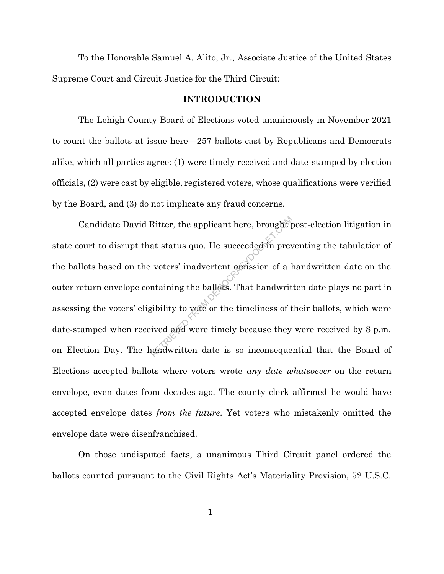To the Honorable Samuel A. Alito, Jr., Associate Justice of the United States Supreme Court and Circuit Justice for the Third Circuit:

#### **INTRODUCTION**

The Lehigh County Board of Elections voted unanimously in November 2021 to count the ballots at issue here—257 ballots cast by Republicans and Democrats alike, which all parties agree: (1) were timely received and date-stamped by election officials, (2) were cast by eligible, registered voters, whose qualifications were verified by the Board, and (3) do not implicate any fraud concerns.

Candidate David Ritter, the applicant here, brought post-election litigation in state court to disrupt that status quo. He succeeded in preventing the tabulation of the ballots based on the voters' inadvertent omission of a handwritten date on the outer return envelope containing the ballots. That handwritten date plays no part in assessing the voters' eligibility to vote or the timeliness of their ballots, which were date-stamped when received and were timely because they were received by 8 p.m. on Election Day. The handwritten date is so inconsequential that the Board of Elections accepted ballots where voters wrote *any date whatsoever* on the return envelope, even dates from decades ago. The county clerk affirmed he would have accepted envelope dates *from the future*. Yet voters who mistakenly omitted the envelope date were disenfranchised. Ritter, the applicant here, brought<br>at status quo. He succeeded in prev<br>voters' inadvertent omission of a l<br>ntaining the ballets. That handwrit<br>ribility to vote or the timeliness of t<br>ived and were timely because they<br>andw

On those undisputed facts, a unanimous Third Circuit panel ordered the ballots counted pursuant to the Civil Rights Act's Materiality Provision, 52 U.S.C.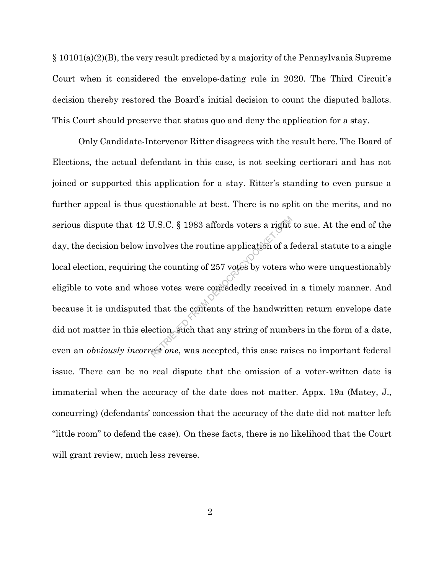§ 10101(a)(2)(B), the very result predicted by a majority of the Pennsylvania Supreme Court when it considered the envelope-dating rule in 2020. The Third Circuit's decision thereby restored the Board's initial decision to count the disputed ballots. This Court should preserve that status quo and deny the application for a stay.

Only Candidate-Intervenor Ritter disagrees with the result here. The Board of Elections, the actual defendant in this case, is not seeking certiorari and has not joined or supported this application for a stay. Ritter's standing to even pursue a further appeal is thus questionable at best. There is no split on the merits, and no serious dispute that 42 U.S.C. § 1983 affords voters a right to sue. At the end of the day, the decision below involves the routine application of a federal statute to a single local election, requiring the counting of 257 votes by voters who were unquestionably eligible to vote and whose votes were concededly received in a timely manner. And because it is undisputed that the contents of the handwritten return envelope date did not matter in this election, such that any string of numbers in the form of a date, even an *obviously incorrect one*, was accepted, this case raises no important federal issue. There can be no real dispute that the omission of a voter-written date is immaterial when the accuracy of the date does not matter. Appx. 19a (Matey, J., concurring) (defendants' concession that the accuracy of the date did not matter left "little room" to defend the case). On these facts, there is no likelihood that the Court will grant review, much less reverse.  $U.S.C. \S 1983$  affords voters a right<br>avolves the routine application of a f<br>the counting of 257 votes by voters v<br>se votes were concededly received if<br>that the contents of the handwritt<br>ection, such that any string of num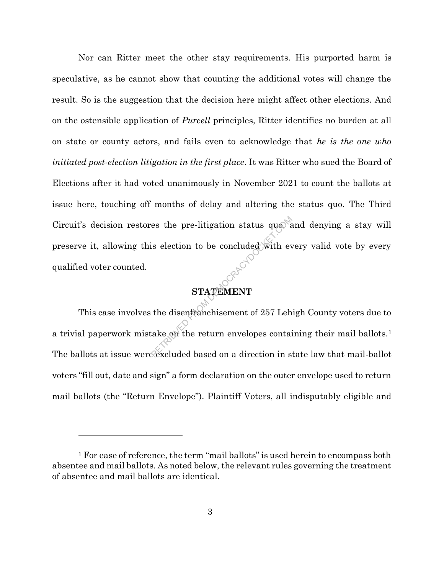Nor can Ritter meet the other stay requirements. His purported harm is speculative, as he cannot show that counting the additional votes will change the result. So is the suggestion that the decision here might affect other elections. And on the ostensible application of *Purcell* principles, Ritter identifies no burden at all on state or county actors, and fails even to acknowledge that *he is the one who initiated post-election litigation in the first place*. It was Ritter who sued the Board of Elections after it had voted unanimously in November 2021 to count the ballots at issue here, touching off months of delay and altering the status quo. The Third Circuit's decision restores the pre-litigation status quo, and denying a stay will preserve it, allowing this election to be concluded with every valid vote by every qualified voter counted. Executed based on a direction in sexetly denoted based on a direction in s

# **STATEMENT**

This case involves the disenfranchisement of 257 Lehigh County voters due to a trivial paperwork mistake on the return envelopes containing their mail ballots.<sup>1</sup> The ballots at issue were excluded based on a direction in state law that mail-ballot voters "fill out, date and sign" a form declaration on the outer envelope used to return mail ballots (the "Return Envelope"). Plaintiff Voters, all indisputably eligible and

<sup>&</sup>lt;sup>1</sup> For ease of reference, the term "mail ballots" is used herein to encompass both absentee and mail ballots. As noted below, the relevant rules governing the treatment of absentee and mail ballots are identical.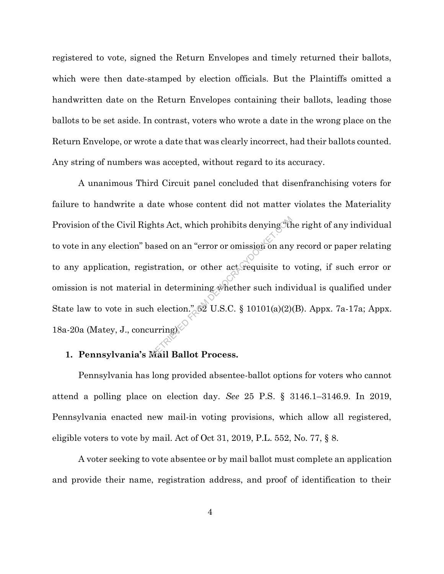registered to vote, signed the Return Envelopes and timely returned their ballots, which were then date-stamped by election officials. But the Plaintiffs omitted a handwritten date on the Return Envelopes containing their ballots, leading those ballots to be set aside. In contrast, voters who wrote a date in the wrong place on the Return Envelope, or wrote a date that was clearly incorrect, had their ballots counted. Any string of numbers was accepted, without regard to its accuracy.

A unanimous Third Circuit panel concluded that disenfranchising voters for failure to handwrite a date whose content did not matter violates the Materiality Provision of the Civil Rights Act, which prohibits denying the right of any individual to vote in any election" based on an "error or omission on any record or paper relating to any application, registration, or other act requisite to voting, if such error or omission is not material in determining whether such individual is qualified under State law to vote in such election." $\sqrt{52}$  U.S.C. § 10101(a)(2)(B). Appx. 7a-17a; Appx. 18a-20a (Matey, J., concurring). thts Act, which prohibits denying the<br>ased on an "error or omission on any<br>stration, or other act requisite to<br>in determining whether such indiv<br>a election." 62 U.S.C. § 10101(a)(2)<br>urring)

#### **1. Pennsylvania's Mail Ballot Process.**

Pennsylvania has long provided absentee-ballot options for voters who cannot attend a polling place on election day. *See* 25 P.S. § 3146.1–3146.9. In 2019, Pennsylvania enacted new mail-in voting provisions, which allow all registered, eligible voters to vote by mail. Act of Oct 31, 2019, P.L. 552, No. 77, § 8.

A voter seeking to vote absentee or by mail ballot must complete an application and provide their name, registration address, and proof of identification to their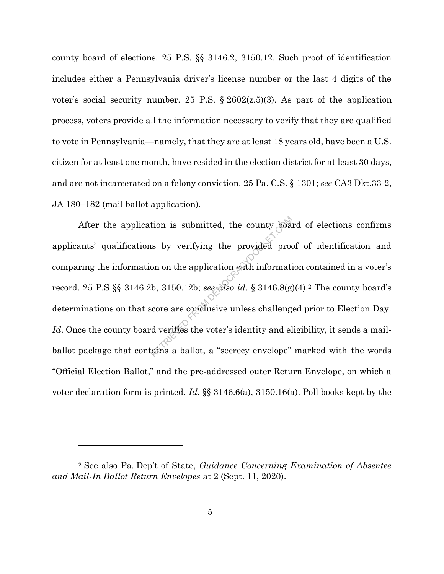county board of elections. 25 P.S. §§ 3146.2, 3150.12. Such proof of identification includes either a Pennsylvania driver's license number or the last 4 digits of the voter's social security number. 25 P.S.  $\S 2602(z.5)(3)$ . As part of the application process, voters provide all the information necessary to verify that they are qualified to vote in Pennsylvania—namely, that they are at least 18 years old, have been a U.S. citizen for at least one month, have resided in the election district for at least 30 days, and are not incarcerated on a felony conviction. 25 Pa. C.S. § 1301; *see* CA3 Dkt.33-2, JA 180–182 (mail ballot application).

After the application is submitted, the county board of elections confirms applicants' qualifications by verifying the provided proof of identification and comparing the information on the application with information contained in a voter's record. 25 P.S §§ 3146.2b, 3150.12b; *see also id*. § 3146.8(g)(4). <sup>2</sup> The county board's determinations on that score are conclusive unless challenged prior to Election Day. Id. Once the county board verifies the voter's identity and eligibility, it sends a mailballot package that contains a ballot, a "secrecy envelope" marked with the words "Official Election Ballot," and the pre-addressed outer Return Envelope, on which a voter declaration form is printed. *Id.* §§ 3146.6(a), 3150.16(a). Poll books kept by the tion is submitted, the county boastly and the provided proor on on the application with information on on the application with information is a subset of the second of the voter's identity and electric area conclusive unle

<sup>2</sup> See also Pa. Dep't of State, *Guidance Concerning Examination of Absentee and Mail-In Ballot Return Envelopes* at 2 (Sept. 11, 2020).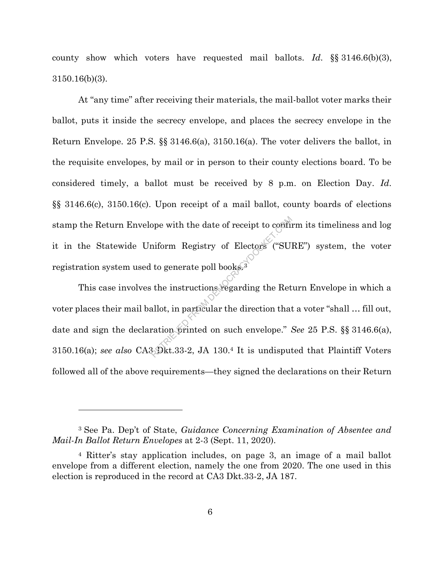county show which voters have requested mail ballots. *Id*. §§ 3146.6(b)(3), 3150.16(b)(3).

At "any time" after receiving their materials, the mail-ballot voter marks their ballot, puts it inside the secrecy envelope, and places the secrecy envelope in the Return Envelope. 25 P.S. §§ 3146.6(a), 3150.16(a). The voter delivers the ballot, in the requisite envelopes, by mail or in person to their county elections board. To be considered timely, a ballot must be received by 8 p.m. on Election Day. *Id*. §§ 3146.6(c), 3150.16(c). Upon receipt of a mail ballot, county boards of elections stamp the Return Envelope with the date of receipt to confirm its timeliness and log it in the Statewide Uniform Registry of Electors ("SURE") system, the voter registration system used to generate poll books. $\overline{3}$ 

This case involves the instructions regarding the Return Envelope in which a voter places their mail ballot, in particular the direction that a voter "shall … fill out, date and sign the declaration printed on such envelope." *See* 25 P.S. §§ 3146.6(a), 3150.16(a); *see also* CA3 Dkt.33-2, JA 130.<sup>4</sup> It is undisputed that Plaintiff Voters followed all of the above requirements—they signed the declarations on their Return ope with the date of receipt to confinition<br>niform Registry of Electors ("SUI<br>to generate poll books.<sup>3</sup><br>the instructions regarding the Ret<br>allot, in particular the direction that<br>ration printed on such envelope."

<sup>3</sup> See Pa. Dep't of State, *Guidance Concerning Examination of Absentee and Mail-In Ballot Return Envelopes* at 2-3 (Sept. 11, 2020).

<sup>4</sup> Ritter's stay application includes, on page 3, an image of a mail ballot envelope from a different election, namely the one from 2020. The one used in this election is reproduced in the record at CA3 Dkt.33-2, JA 187.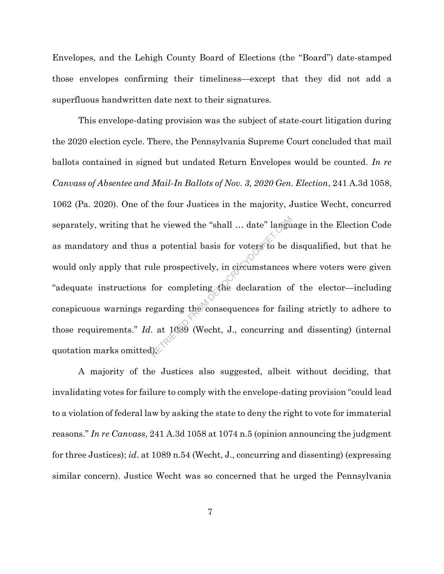Envelopes, and the Lehigh County Board of Elections (the "Board") date-stamped those envelopes confirming their timeliness—except that they did not add a superfluous handwritten date next to their signatures.

This envelope-dating provision was the subject of state-court litigation during the 2020 election cycle. There, the Pennsylvania Supreme Court concluded that mail ballots contained in signed but undated Return Envelopes would be counted. *In re Canvass of Absentee and Mail-In Ballots of Nov. 3, 2020 Gen. Election*, 241 A.3d 1058, 1062 (Pa. 2020). One of the four Justices in the majority, Justice Wecht, concurred separately, writing that he viewed the "shall … date" language in the Election Code as mandatory and thus a potential basis for voters to be disqualified, but that he would only apply that rule prospectively, in circumstances where voters were given "adequate instructions for completing the declaration of the elector—including conspicuous warnings regarding the consequences for failing strictly to adhere to those requirements." *Id*. at 1089 (Wecht, J., concurring and dissenting) (internal quotation marks omitted). he viewed the "shall ... date" langu<br>a potential basis for voters to be due prospectively, in circumstances<br>for completing the declaration of<br>egarding the consequences for fail:<br>at 1039 (Wecht, J., concurring a

A majority of the Justices also suggested, albeit without deciding, that invalidating votes for failure to comply with the envelope-dating provision "could lead to a violation of federal law by asking the state to deny the right to vote for immaterial reasons." *In re Canvass*, 241 A.3d 1058 at 1074 n.5 (opinion announcing the judgment for three Justices); *id*. at 1089 n.54 (Wecht, J., concurring and dissenting) (expressing similar concern). Justice Wecht was so concerned that he urged the Pennsylvania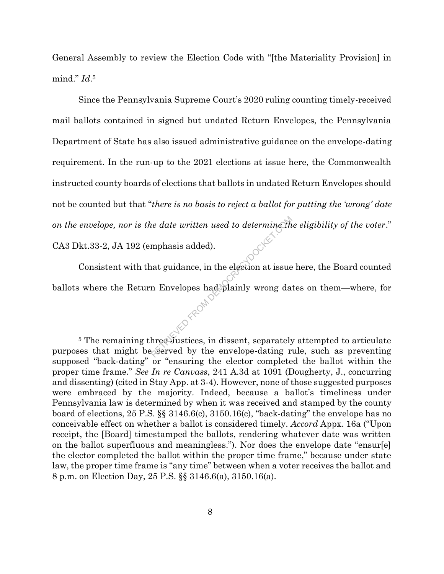General Assembly to review the Election Code with "[the Materiality Provision] in mind." *Id*. 5

Since the Pennsylvania Supreme Court's 2020 ruling counting timely-received mail ballots contained in signed but undated Return Envelopes, the Pennsylvania Department of State has also issued administrative guidance on the envelope-dating requirement. In the run-up to the 2021 elections at issue here, the Commonwealth instructed county boards of elections that ballots in undated Return Envelopes should not be counted but that "*there is no basis to reject a ballot for putting the 'wrong' date on the envelope, nor is the date written used to determine the eligibility of the voter*."

CA3 Dkt.33-2, JA 192 (emphasis added).

Consistent with that guidance, in the election at issue here, the Board counted ballots where the Return Envelopes had plainly wrong dates on them—where, for Reflexiten used to determine the<br>
mphasis added).<br>
hat guidance, in the election at issue<br>
m Envelopes had plainly wrong da<br>
hree Justices, in dissent, separately<br>
served by the envelope-dating r

<sup>&</sup>lt;sup>5</sup> The remaining three Justices, in dissent, separately attempted to articulate purposes that might be served by the envelope-dating rule, such as preventing supposed "back-dating" or "ensuring the elector completed the ballot within the proper time frame." *See In re Canvass*, 241 A.3d at 1091 (Dougherty, J., concurring and dissenting) (cited in Stay App. at 3-4). However, none of those suggested purposes were embraced by the majority. Indeed, because a ballot's timeliness under Pennsylvania law is determined by when it was received and stamped by the county board of elections, 25 P.S. §§ 3146.6(c), 3150.16(c), "back-dating" the envelope has no conceivable effect on whether a ballot is considered timely. *Accord* Appx. 16a ("Upon receipt, the [Board] timestamped the ballots, rendering whatever date was written on the ballot superfluous and meaningless."). Nor does the envelope date "ensur[e] the elector completed the ballot within the proper time frame," because under state law, the proper time frame is "any time" between when a voter receives the ballot and 8 p.m. on Election Day, 25 P.S. §§ 3146.6(a), 3150.16(a).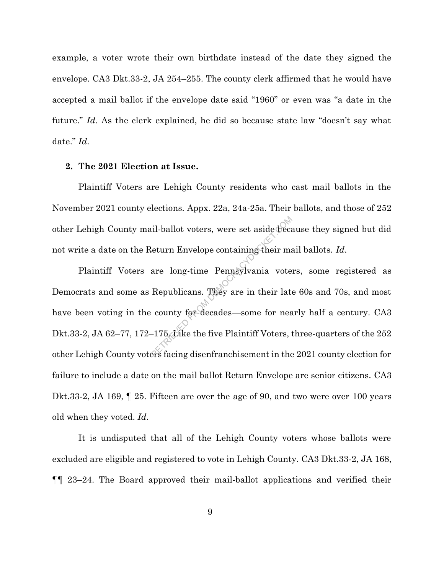example, a voter wrote their own birthdate instead of the date they signed the envelope. CA3 Dkt.33-2, JA 254–255. The county clerk affirmed that he would have accepted a mail ballot if the envelope date said "1960" or even was "a date in the future." *Id*. As the clerk explained, he did so because state law "doesn't say what date." *Id*.

#### **2. The 2021 Election at Issue.**

Plaintiff Voters are Lehigh County residents who cast mail ballots in the November 2021 county elections. Appx. 22a, 24a-25a. Their ballots, and those of 252 other Lehigh County mail-ballot voters, were set aside because they signed but did not write a date on the Return Envelope containing their mail ballots. *Id*.

Plaintiff Voters are long-time Pennsylvania voters, some registered as Democrats and some as Republicans. They are in their late 60s and 70s, and most have been voting in the county for decades—some for nearly half a century. CA3 Dkt.33-2, JA 62–77, 172–175. Like the five Plaintiff Voters, three-quarters of the 252 other Lehigh County voters facing disenfranchisement in the 2021 county election for failure to include a date on the mail ballot Return Envelope are senior citizens. CA3 Dkt.33-2, JA 169, ¶ 25. Fifteen are over the age of 90, and two were over 100 years old when they voted. *Id*. il-ballot voters, were set aside because<br>
Leturn Envelope containing their matrices<br>
are long-time Pennsylvania vote<br>
Republicans. They are in their late<br>
county for decades—some for nea-<br>
175 Tike the five Plaintiff Voter

It is undisputed that all of the Lehigh County voters whose ballots were excluded are eligible and registered to vote in Lehigh County. CA3 Dkt.33-2, JA 168, ¶¶ 23–24. The Board approved their mail-ballot applications and verified their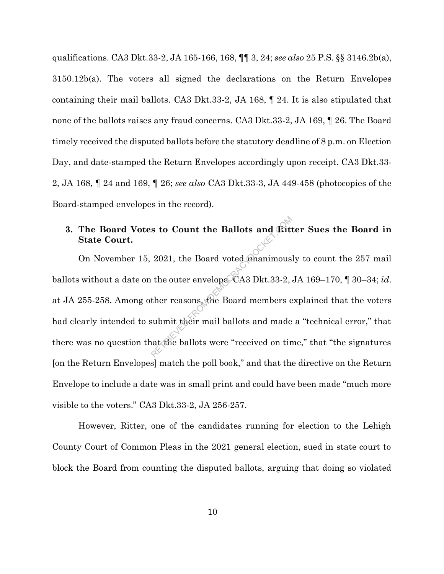qualifications. CA3 Dkt.33-2, JA 165-166, 168, ¶¶ 3, 24; *see also* 25 P.S. §§ 3146.2b(a), 3150.12b(a). The voters all signed the declarations on the Return Envelopes containing their mail ballots. CA3 Dkt.33-2, JA 168, ¶ 24. It is also stipulated that none of the ballots raises any fraud concerns. CA3 Dkt.33-2, JA 169, ¶ 26. The Board timely received the disputed ballots before the statutory deadline of 8 p.m. on Election Day, and date-stamped the Return Envelopes accordingly upon receipt. CA3 Dkt.33- 2, JA 168, ¶ 24 and 169, ¶ 26; *see also* CA3 Dkt.33-3, JA 449-458 (photocopies of the Board-stamped envelopes in the record).

### **3. The Board Votes to Count the Ballots and Ritter Sues the Board in State Court.**

On November 15, 2021, the Board voted unanimously to count the 257 mail ballots without a date on the outer envelope. CA3 Dkt.33-2, JA 169–170, ¶ 30–34; *id*. at JA 255-258. Among other reasons, the Board members explained that the voters had clearly intended to submit their mail ballots and made a "technical error," that there was no question that the ballots were "received on time," that "the signatures [on the Return Envelopes] match the poll book," and that the directive on the Return Envelope to include a date was in small print and could have been made "much more visible to the voters." CA3 Dkt.33-2, JA 256-257. s to Count the Ballots and Ritu<br>
2021, the Board voted whanimous<br>
the outer envelope CA3 Dkt.33-2,<br>
ther reasons the Board members e<br>
submit their mail ballots and made<br>
at the ballots were "received on tir

However, Ritter, one of the candidates running for election to the Lehigh County Court of Common Pleas in the 2021 general election, sued in state court to block the Board from counting the disputed ballots, arguing that doing so violated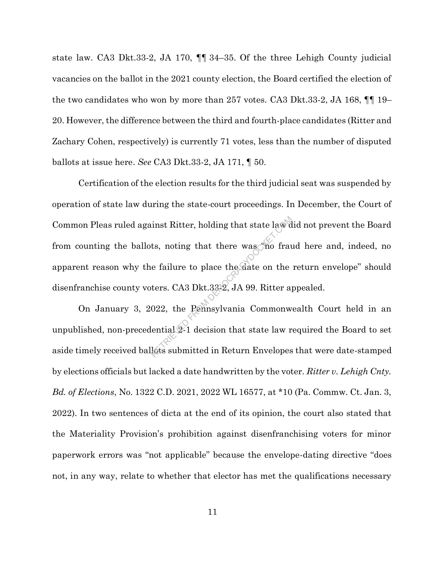state law. CA3 Dkt.33-2, JA 170, ¶¶ 34–35. Of the three Lehigh County judicial vacancies on the ballot in the 2021 county election, the Board certified the election of the two candidates who won by more than 257 votes. CA3 Dkt.33-2, JA 168, ¶¶ 19– 20. However, the difference between the third and fourth-place candidates (Ritter and Zachary Cohen, respectively) is currently 71 votes, less than the number of disputed ballots at issue here. *See* CA3 Dkt.33-2, JA 171, ¶ 50.

Certification of the election results for the third judicial seat was suspended by operation of state law during the state-court proceedings. In December, the Court of Common Pleas ruled against Ritter, holding that state law did not prevent the Board from counting the ballots, noting that there was no fraud here and, indeed, no apparent reason why the failure to place the date on the return envelope" should disenfranchise county voters. CA3 Dkt.33-2, JA 99. Ritter appealed. inst Ritter, holding that state law d<br>ts, noting that there was no frau<br>e failure to place the date on the<br>ters. CA3 Dkt.33-2, JA 99. Ritter ap<br>022, the Pennsylvania Commonw<br>lential 2-1 decision that state law r<br>lots submi

On January 3, 2022, the Pennsylvania Commonwealth Court held in an unpublished, non-precedential 2-1 decision that state law required the Board to set aside timely received ballots submitted in Return Envelopes that were date-stamped by elections officials but lacked a date handwritten by the voter. *Ritter v. Lehigh Cnty. Bd. of Elections*, No. 1322 C.D. 2021, 2022 WL 16577, at \*10 (Pa. Commw. Ct. Jan. 3, 2022). In two sentences of dicta at the end of its opinion, the court also stated that the Materiality Provision's prohibition against disenfranchising voters for minor paperwork errors was "not applicable" because the envelope-dating directive "does not, in any way, relate to whether that elector has met the qualifications necessary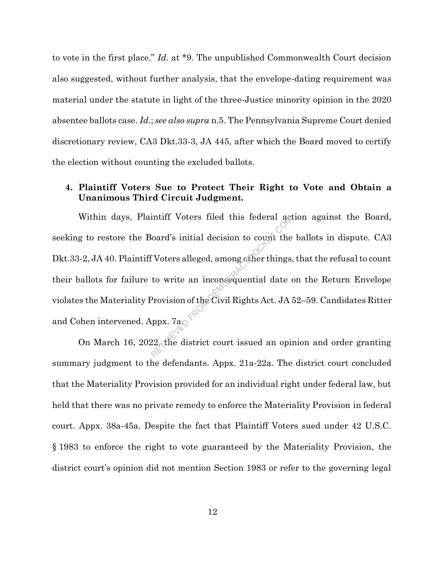to vote in the first place." *Id*. at \*9. The unpublished Commonwealth Court decision also suggested, without further analysis, that the envelope-dating requirement was material under the statute in light of the three-Justice minority opinion in the 2020 absentee ballots case. *Id*.; *see also supra* n.5. The Pennsylvania Supreme Court denied discretionary review, CA3 Dkt.33-3, JA 445, after which the Board moved to certify the election without counting the excluded ballots.

#### **4. Plaintiff Voters Sue to Protect Their Right to Vote and Obtain a Unanimous Third Circuit Judgment.**

Within days, Plaintiff Voters filed this federal action against the Board, seeking to restore the Board's initial decision to count the ballots in dispute. CA3 Dkt.33-2, JA 40. Plaintiff Voters alleged, among other things, that the refusal to count their ballots for failure to write an inconsequential date on the Return Envelope violates the Materiality Provision of the Civil Rights Act. JA 52–59. Candidates Ritter and Cohen intervened. Appx. 7a. MITT Voters filed this federal ages<br>
Soard's initial decision to count the<br>
EXPORE Solvent Companies to write an inconsequential date<br>
Provision of the Civil Rights Act. JA<br>
ppx. 7a

On March 16, 2022, the district court issued an opinion and order granting summary judgment to the defendants. Appx. 21a-22a. The district court concluded that the Materiality Provision provided for an individual right under federal law, but held that there was no private remedy to enforce the Materiality Provision in federal court. Appx. 38a-45a. Despite the fact that Plaintiff Voters sued under 42 U.S.C. § 1983 to enforce the right to vote guaranteed by the Materiality Provision, the district court's opinion did not mention Section 1983 or refer to the governing legal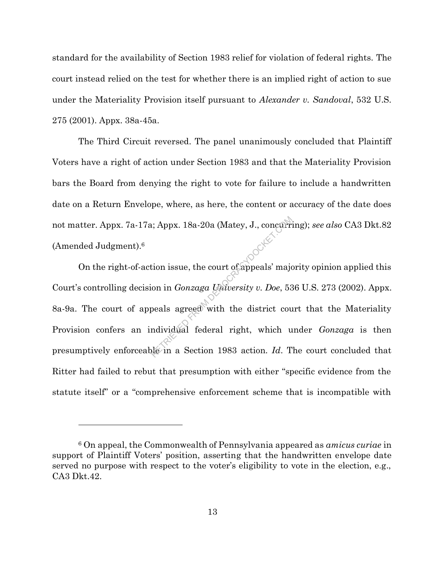standard for the availability of Section 1983 relief for violation of federal rights. The court instead relied on the test for whether there is an implied right of action to sue under the Materiality Provision itself pursuant to *Alexander v. Sandoval*, 532 U.S. 275 (2001). Appx. 38a-45a.

The Third Circuit reversed. The panel unanimously concluded that Plaintiff Voters have a right of action under Section 1983 and that the Materiality Provision bars the Board from denying the right to vote for failure to include a handwritten date on a Return Envelope, where, as here, the content or accuracy of the date does not matter. Appx. 7a-17a; Appx. 18a-20a (Matey, J., concurring); *see also* CA3 Dkt.82 (Amended Judgment).<sup>6</sup>

On the right-of-action issue, the court of appeals' majority opinion applied this Court's controlling decision in *Gonzaga University v. Doe*, 536 U.S. 273 (2002). Appx. 8a-9a. The court of appeals agreed with the district court that the Materiality Provision confers an individual federal right, which under *Gonzaga* is then presumptively enforceable in a Section 1983 action. *Id*. The court concluded that Ritter had failed to rebut that presumption with either "specific evidence from the statute itself" or a "comprehensive enforcement scheme that is incompatible with RETRIEU SA. 18a-20a (Matey, J., concurries)<br>
Return issue, the court of appeals' majo<br>
ion in *Gonzaga University v. Doe*, 53<br>
peals agreed with the district coundividual federal right, which uple in a Section 1983 action.

<sup>6</sup> On appeal, the Commonwealth of Pennsylvania appeared as *amicus curiae* in support of Plaintiff Voters' position, asserting that the handwritten envelope date served no purpose with respect to the voter's eligibility to vote in the election, e.g., CA3 Dkt.42.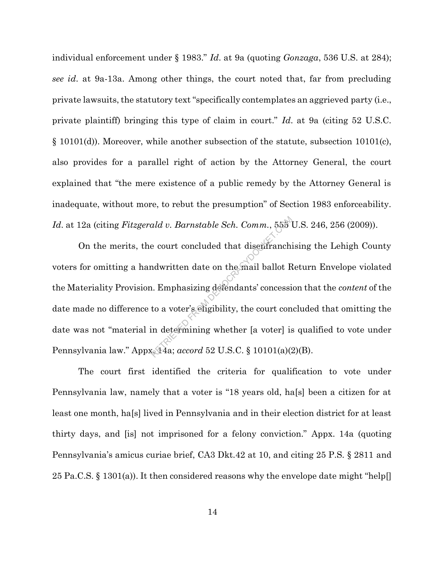individual enforcement under § 1983." *Id*. at 9a (quoting *Gonzaga*, 536 U.S. at 284); *see id*. at 9a-13a. Among other things, the court noted that, far from precluding private lawsuits, the statutory text "specifically contemplates an aggrieved party (i.e., private plaintiff) bringing this type of claim in court." *Id*. at 9a (citing 52 U.S.C. § 10101(d)). Moreover, while another subsection of the statute, subsection 10101(c), also provides for a parallel right of action by the Attorney General, the court explained that "the mere existence of a public remedy by the Attorney General is inadequate, without more, to rebut the presumption" of Section 1983 enforceability. *Id*. at 12a (citing *Fitzgerald v. Barnstable Sch. Comm.*, 555 U.S. 246, 256 (2009)).

On the merits, the court concluded that disenfranchising the Lehigh County voters for omitting a handwritten date on the mail ballot Return Envelope violated the Materiality Provision. Emphasizing defendants' concession that the *content* of the date made no difference to a voter's eligibility, the court concluded that omitting the date was not "material in determining whether [a voter] is qualified to vote under Pennsylvania law." Appx. 14a; *accord* 52 U.S.C. § 10101(a)(2)(B). ald v. Barnstable Sch. Comm., 555<br>
e court concluded that disenfranchical<br>
mdwritten date on the mail ballot R<br>
n. Emphasizing defendants' concessi<br>
to a voter's eligibility, the court con<br>
in determining whether [a voter]

The court first identified the criteria for qualification to vote under Pennsylvania law, namely that a voter is "18 years old, ha[s] been a citizen for at least one month, ha[s] lived in Pennsylvania and in their election district for at least thirty days, and [is] not imprisoned for a felony conviction." Appx. 14a (quoting Pennsylvania's amicus curiae brief, CA3 Dkt.42 at 10, and citing 25 P.S. § 2811 and 25 Pa.C.S. § 1301(a)). It then considered reasons why the envelope date might "help[]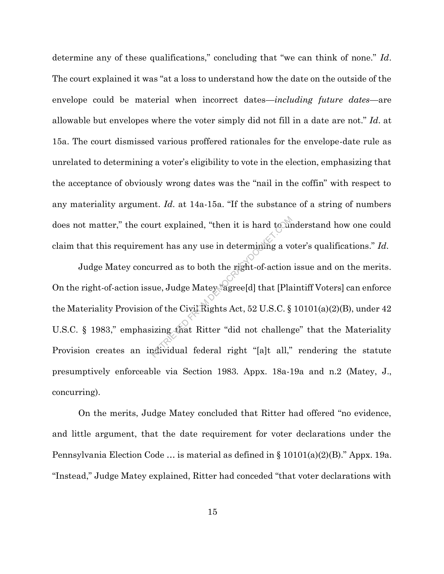determine any of these qualifications," concluding that "we can think of none." *Id*. The court explained it was "at a loss to understand how the date on the outside of the envelope could be material when incorrect dates—*including future dates*—are allowable but envelopes where the voter simply did not fill in a date are not." *Id*. at 15a. The court dismissed various proffered rationales for the envelope-date rule as unrelated to determining a voter's eligibility to vote in the election, emphasizing that the acceptance of obviously wrong dates was the "nail in the coffin" with respect to any materiality argument. *Id*. at 14a-15a. "If the substance of a string of numbers does not matter," the court explained, "then it is hard to understand how one could claim that this requirement has any use in determining a voter's qualifications." *Id*.

Judge Matey concurred as to both the right-of-action issue and on the merits. On the right-of-action issue, Judge Matey "agree[d] that [Plaintiff Voters] can enforce the Materiality Provision of the Civil Rights Act, 52 U.S.C. § 10101(a)(2)(B), under 42 U.S.C. § 1983," emphasizing that Ritter "did not challenge" that the Materiality Provision creates an individual federal right "[a]t all," rendering the statute presumptively enforceable via Section 1983. Appx. 18a-19a and n.2 (Matey, J., concurring). urt explained, "then it is hard tourn<br>ent has any use in determining a vorted as to both the right-of-action<br>ue, Judge Matey agree[d] that [Pla<br>n of the Civil Rights Act, 52 U.S.C. §<br>izing that Ritter "did not challeng<br>adi

On the merits, Judge Matey concluded that Ritter had offered "no evidence, and little argument, that the date requirement for voter declarations under the Pennsylvania Election Code … is material as defined in § 10101(a)(2)(B)." Appx. 19a. "Instead," Judge Matey explained, Ritter had conceded "that voter declarations with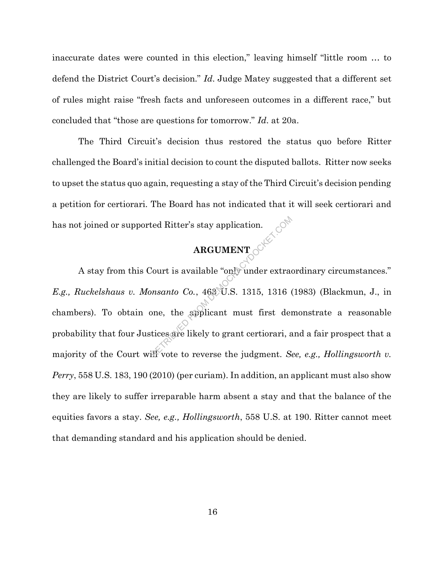inaccurate dates were counted in this election," leaving himself "little room … to defend the District Court's decision." *Id*. Judge Matey suggested that a different set of rules might raise "fresh facts and unforeseen outcomes in a different race," but concluded that "those are questions for tomorrow." *Id*. at 20a.

The Third Circuit's decision thus restored the status quo before Ritter challenged the Board's initial decision to count the disputed ballots. Ritter now seeks to upset the status quo again, requesting a stay of the Third Circuit's decision pending a petition for certiorari. The Board has not indicated that it will seek certiorari and has not joined or supported Ritter's stay application.

#### **ARGUMENT**

A stay from this Court is available "only under extraordinary circumstances." *E.g., Ruckelshaus v. Monsanto Co.*, 463 U.S. 1315, 1316 (1983) (Blackmun, J., in chambers). To obtain one, the applicant must first demonstrate a reasonable probability that four Justices are likely to grant certiorari, and a fair prospect that a majority of the Court will vote to reverse the judgment. *See, e.g., Hollingsworth v. Perry*, 558 U.S. 183, 190 (2010) (per curiam). In addition, an applicant must also show they are likely to suffer irreparable harm absent a stay and that the balance of the equities favors a stay. *See, e.g., Hollingsworth*, 558 U.S. at 190. Ritter cannot meet that demanding standard and his application should be denied. red Ritter's stay application.<br>
ARGUMENT<br>
Court is available "only under extractions<br>
misanto Co., 463 U.S. 1315, 1316 (<br>
Dine, the applicant must first deretics<br>
different integrals in the state of the state of the state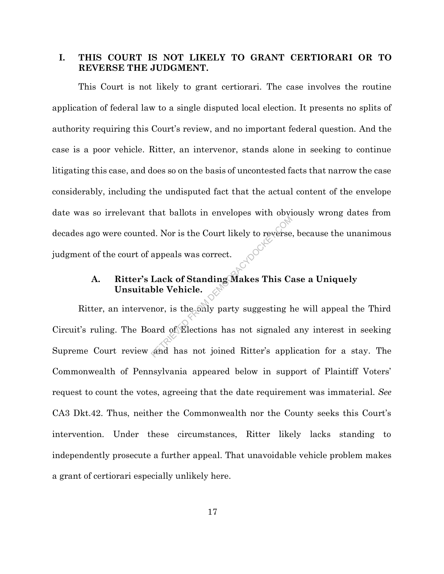#### **I. THIS COURT IS NOT LIKELY TO GRANT CERTIORARI OR TO REVERSE THE JUDGMENT.**

This Court is not likely to grant certiorari. The case involves the routine application of federal law to a single disputed local election. It presents no splits of authority requiring this Court's review, and no important federal question. And the case is a poor vehicle. Ritter, an intervenor, stands alone in seeking to continue litigating this case, and does so on the basis of uncontested facts that narrow the case considerably, including the undisputed fact that the actual content of the envelope date was so irrelevant that ballots in envelopes with obviously wrong dates from decades ago were counted. Nor is the Court likely to reverse, because the unanimous judgment of the court of appeals was correct.

#### **A. Ritter's Lack of Standing Makes This Case a Uniquely Unsuitable Vehicle.**

Ritter, an intervenor, is the only party suggesting he will appeal the Third Circuit's ruling. The Board of Elections has not signaled any interest in seeking Supreme Court review and has not joined Ritter's application for a stay. The Commonwealth of Pennsylvania appeared below in support of Plaintiff Voters' request to count the votes, agreeing that the date requirement was immaterial. *See* CA3 Dkt.42. Thus, neither the Commonwealth nor the County seeks this Court's intervention. Under these circumstances, Ritter likely lacks standing to independently prosecute a further appeal. That unavoidable vehicle problem makes a grant of certiorari especially unlikely here. d. Nor is the Court likely to reverse<br>appeals was correct.<br>Lack of Standing Makes This C:<br>ble Vehicle.<br>nor, is the only party suggesting hard of Elections has not signaled<br>and has not joined Ritter's appl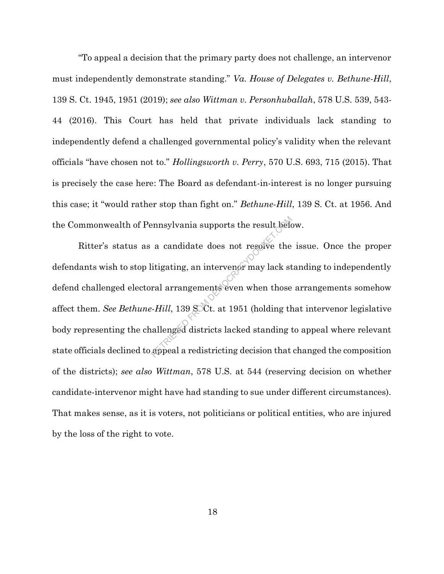"To appeal a decision that the primary party does not challenge, an intervenor must independently demonstrate standing." *Va. House of Delegates v. Bethune-Hill*, 139 S. Ct. 1945, 1951 (2019); *see also Wittman v. Personhuballah*, 578 U.S. 539, 543- 44 (2016). This Court has held that private individuals lack standing to independently defend a challenged governmental policy's validity when the relevant officials "have chosen not to." *Hollingsworth v. Perry*, 570 U.S. 693, 715 (2015). That is precisely the case here: The Board as defendant-in-interest is no longer pursuing this case; it "would rather stop than fight on." *Bethune-Hill*, 139 S. Ct. at 1956. And the Commonwealth of Pennsylvania supports the result below.

Ritter's status as a candidate does not resolve the issue. Once the proper defendants wish to stop litigating, an intervence may lack standing to independently defend challenged electoral arrangements even when those arrangements somehow affect them. *See Bethune-Hill*, 139 S.Ct. at 1951 (holding that intervenor legislative body representing the challenged districts lacked standing to appeal where relevant state officials declined to appeal a redistricting decision that changed the composition of the districts); *see also Wittman*, 578 U.S. at 544 (reserving decision on whether candidate-intervenor might have had standing to sue under different circumstances). That makes sense, as it is voters, not politicians or political entities, who are injured by the loss of the right to vote. ennsylvania supports the result below<br>a candidate does not resolve the<br>itigating, an intervence may lack st<br>ral arrangements even when those<br>.-Hill, 139 SOCt. at 1951 (holding the<br>allenged districts lacked standing to<br>appe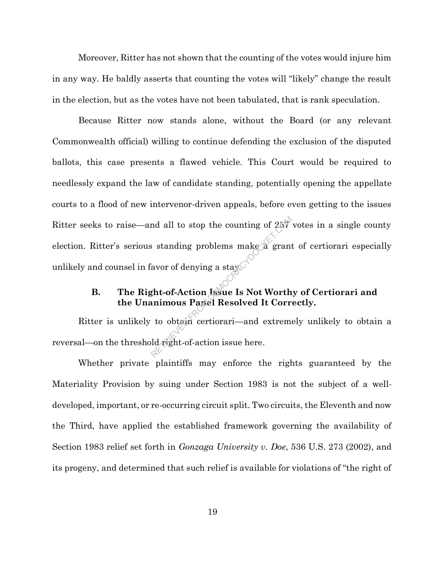Moreover, Ritter has not shown that the counting of the votes would injure him in any way. He baldly asserts that counting the votes will "likely" change the result in the election, but as the votes have not been tabulated, that is rank speculation.

Because Ritter now stands alone, without the Board (or any relevant Commonwealth official) willing to continue defending the exclusion of the disputed ballots, this case presents a flawed vehicle. This Court would be required to needlessly expand the law of candidate standing, potentially opening the appellate courts to a flood of new intervenor-driven appeals, before even getting to the issues Ritter seeks to raise—and all to stop the counting of 257 votes in a single county election. Ritter's serious standing problems make a grant of certiorari especially unlikely and counsel in favor of denying a stay. $\overline{O}$ all to stop the counting of 257<br>
Substitution Sales and Sales and Sales and Sales and Sales School of Action Issue Is Not Worth<br>
Substitution Sales Resolved It Correction<br>
The Sales Resolved It Correction<br>
Computed School

### **B. The Right-of-Action Issue Is Not Worthy of Certiorari and the Unanimous Panel Resolved It Correctly.**

Ritter is unlikely to obtain certiorari—and extremely unlikely to obtain a reversal—on the threshold right-of-action issue here.

Whether private plaintiffs may enforce the rights guaranteed by the Materiality Provision by suing under Section 1983 is not the subject of a welldeveloped, important, or re-occurring circuit split. Two circuits, the Eleventh and now the Third, have applied the established framework governing the availability of Section 1983 relief set forth in *Gonzaga University v. Doe*, 536 U.S. 273 (2002), and its progeny, and determined that such relief is available for violations of "the right of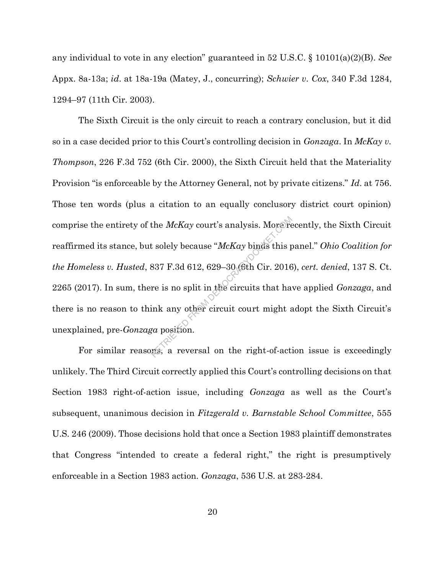any individual to vote in any election" guaranteed in 52 U.S.C. § 10101(a)(2)(B). *See* Appx. 8a-13a; *id*. at 18a-19a (Matey, J., concurring); *Schwier v. Cox*, 340 F.3d 1284, 1294–97 (11th Cir. 2003).

The Sixth Circuit is the only circuit to reach a contrary conclusion, but it did so in a case decided prior to this Court's controlling decision in *Gonzaga*. In *McKay v. Thompson*, 226 F.3d 752 (6th Cir. 2000), the Sixth Circuit held that the Materiality Provision "is enforceable by the Attorney General, not by private citizens." *Id*. at 756. Those ten words (plus a citation to an equally conclusory district court opinion) comprise the entirety of the *McKay* court's analysis. More recently, the Sixth Circuit reaffirmed its stance, but solely because "*McKay* binds this panel." *Ohio Coalition for the Homeless v. Husted*, 837 F.3d 612, 629–30 (6th Cir. 2016), *cert. denied*, 137 S. Ct. 2265 (2017). In sum, there is no split in the circuits that have applied *Gonzaga*, and there is no reason to think any other circuit court might adopt the Sixth Circuit's unexplained, pre-*Gonzaga* position. the *McKay* court's analysis. More re<br>t solely because "*McKay* binds this p<br>837 F.3d 612, 629–30 (6th Cir. 2016<br>re is no split in the circuits that ha<br>ink any other circuit court might as<br>ga position.

For similar reasons, a reversal on the right-of-action issue is exceedingly unlikely. The Third Circuit correctly applied this Court's controlling decisions on that Section 1983 right-of-action issue, including *Gonzaga* as well as the Court's subsequent, unanimous decision in *Fitzgerald v. Barnstable School Committee*, 555 U.S. 246 (2009). Those decisions hold that once a Section 1983 plaintiff demonstrates that Congress "intended to create a federal right," the right is presumptively enforceable in a Section 1983 action. *Gonzaga*, 536 U.S. at 283-284.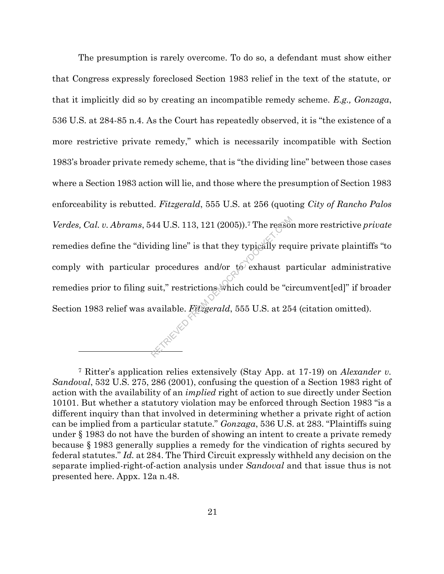The presumption is rarely overcome. To do so, a defendant must show either that Congress expressly foreclosed Section 1983 relief in the text of the statute, or that it implicitly did so by creating an incompatible remedy scheme. *E.g., Gonzaga*, 536 U.S. at 284-85 n.4. As the Court has repeatedly observed, it is "the existence of a more restrictive private remedy," which is necessarily incompatible with Section 1983's broader private remedy scheme, that is "the dividing line" between those cases where a Section 1983 action will lie, and those where the presumption of Section 1983 enforceability is rebutted. *Fitzgerald*, 555 U.S. at 256 (quoting *City of Rancho Palos Verdes, Cal. v. Abrams*, 544 U.S. 113, 121 (2005)).<sup>7</sup> The reason more restrictive *private* remedies define the "dividing line" is that they typically require private plaintiffs "to comply with particular procedures and/or  $t_0$  exhaust particular administrative remedies prior to filing suit," restrictions which could be "circumvent[ed]" if broader Section 1983 relief was available. *Fitzgerald*, 555 U.S. at 254 (citation omitted). 44 U.S. 113, 121 (2005)).<sup>7</sup> The reason<br>iding line" is that they typically req<br>procedures and/or to exhaust pa<br>iuit," restrictions which could be "ci<br>vailable. *Fitzgerald*, 555 U.S. at 25

<sup>7</sup> Ritter's application relies extensively (Stay App. at 17-19) on *Alexander v. Sandoval*, 532 U.S. 275, 286 (2001), confusing the question of a Section 1983 right of action with the availability of an *implied* right of action to sue directly under Section 10101. But whether a statutory violation may be enforced through Section 1983 "is a different inquiry than that involved in determining whether a private right of action can be implied from a particular statute." *Gonzaga*, 536 U.S. at 283. "Plaintiffs suing under § 1983 do not have the burden of showing an intent to create a private remedy because § 1983 generally supplies a remedy for the vindication of rights secured by federal statutes." *Id.* at 284. The Third Circuit expressly withheld any decision on the separate implied-right-of-action analysis under *Sandoval* and that issue thus is not presented here. Appx. 12a n.48.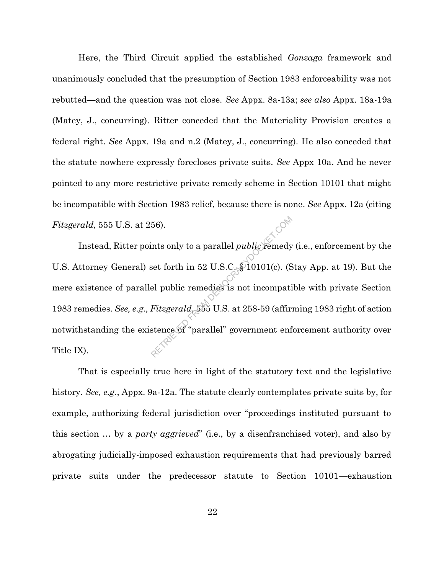Here, the Third Circuit applied the established *Gonzaga* framework and unanimously concluded that the presumption of Section 1983 enforceability was not rebutted—and the question was not close. *See* Appx. 8a-13a; *see also* Appx. 18a-19a (Matey, J., concurring). Ritter conceded that the Materiality Provision creates a federal right. *See* Appx. 19a and n.2 (Matey, J., concurring). He also conceded that the statute nowhere expressly forecloses private suits. *See* Appx 10a. And he never pointed to any more restrictive private remedy scheme in Section 10101 that might be incompatible with Section 1983 relief, because there is none. *See* Appx. 12a (citing *Fitzgerald*, 555 U.S. at 256).

Instead, Ritter points only to a parallel *public* remedy (i.e., enforcement by the U.S. Attorney General) set forth in 52 U.S.C. § 10101(c). (Stay App. at 19). But the mere existence of parallel public remedies is not incompatible with private Section 1983 remedies. *See, e.g., Fitzgerald*, 555 U.S. at 258-59 (affirming 1983 right of action notwithstanding the existence of "parallel" government enforcement authority over Title IX). 56).<br>
ints only to a parallel *public* remedy<br>
set forth in 52 U.S.C. \$10101(c). (S<br>
el public remedies is not incompati<br>
Fitzgerald, 555 U.S. at 258-59 (affir<br>
stence of "parallel" government enf

That is especially true here in light of the statutory text and the legislative history. *See, e.g.*, Appx. 9a-12a. The statute clearly contemplates private suits by, for example, authorizing federal jurisdiction over "proceedings instituted pursuant to this section … by a *party aggrieved*" (i.e., by a disenfranchised voter), and also by abrogating judicially-imposed exhaustion requirements that had previously barred private suits under the predecessor statute to Section 10101—exhaustion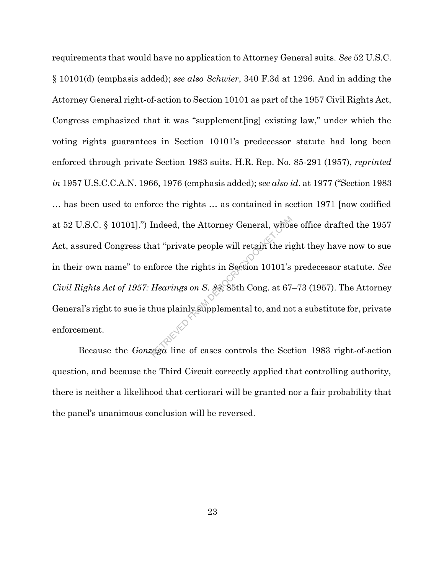requirements that would have no application to Attorney General suits. *See* 52 U.S.C. § 10101(d) (emphasis added); *see also Schwier*, 340 F.3d at 1296. And in adding the Attorney General right-of-action to Section 10101 as part of the 1957 Civil Rights Act, Congress emphasized that it was "supplement[ing] existing law," under which the voting rights guarantees in Section 10101's predecessor statute had long been enforced through private Section 1983 suits. H.R. Rep. No. 85-291 (1957), *reprinted in* 1957 U.S.C.C.A.N. 1966, 1976 (emphasis added); *see also id*. at 1977 ("Section 1983 … has been used to enforce the rights … as contained in section 1971 [now codified at 52 U.S.C. § 10101].") Indeed, the Attorney General, whose office drafted the 1957 Act, assured Congress that "private people will retain the right they have now to sue in their own name" to enforce the rights in Section 10101's predecessor statute. *See Civil Rights Act of 1957: Hearings on S. 83*, 85th Cong. at 67–73 (1957). The Attorney General's right to sue is thus plainly supplemental to, and not a substitute for, private enforcement. Indeed, the Attorney General, whose<br>at "private people will retain the rights<br>inforce the rights in Section 10101's<br>Hearings on S. 83, 85th Cong. at 67-<br>hus plainly supplemental to, and no<br>gega line of cases controls the S

Because the *Gonzaga* line of cases controls the Section 1983 right-of-action question, and because the Third Circuit correctly applied that controlling authority, there is neither a likelihood that certiorari will be granted nor a fair probability that the panel's unanimous conclusion will be reversed.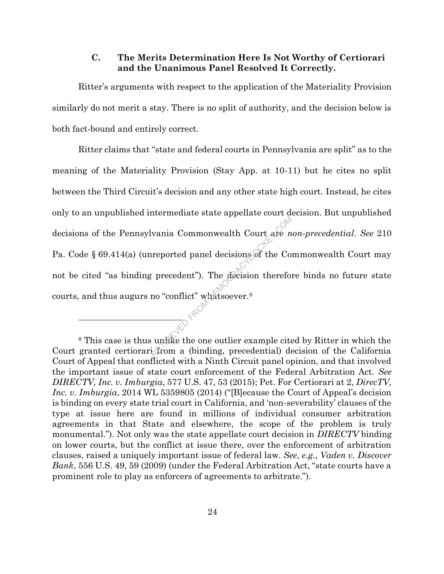#### **C. The Merits Determination Here Is Not Worthy of Certiorari and the Unanimous Panel Resolved It Correctly.**

Ritter's arguments with respect to the application of the Materiality Provision similarly do not merit a stay. There is no split of authority, and the decision below is both fact-bound and entirely correct.

Ritter claims that "state and federal courts in Pennsylvania are split" as to the meaning of the Materiality Provision (Stay App. at 10-11) but he cites no split between the Third Circuit's decision and any other state high court. Instead, he cites only to an unpublished intermediate state appellate court decision. But unpublished decisions of the Pennsylvania Commonwealth Court are *non-precedential*. *See* 210 Pa. Code § 69.414(a) (unreported panel decisions of the Commonwealth Court may not be cited "as binding precedent"). The decision therefore binds no future state courts, and thus augurs no "conflict" whatsoever.<sup>8</sup> vania Commonwealth Court are *n*<br>
reported panel decisions of the Co.<br>
precedent"). The decision therefore<br>
no "conflict" whatsoever.<sup>8</sup><br>
while the one outlier example cite<br>
while the one outlier example cite<br>
while the o

<sup>8</sup> This case is thus unlike the one outlier example cited by Ritter in which the Court granted certiorari from a (binding, precedential) decision of the California Court of Appeal that conflicted with a Ninth Circuit panel opinion, and that involved the important issue of state court enforcement of the Federal Arbitration Act. *See DIRECTV, Inc. v. Imburgia*, 577 U.S. 47, 53 (2015); Pet. For Certiorari at 2, *DirecTV, Inc. v. Imburgia*, 2014 WL 5359805 (2014) ("[B]ecause the Court of Appeal's decision is binding on every state trial court in California, and 'non-severability' clauses of the type at issue here are found in millions of individual consumer arbitration agreements in that State and elsewhere, the scope of the problem is truly monumental."). Not only was the state appellate court decision in *DIRECTV* binding on lower courts, but the conflict at issue there, over the enforcement of arbitration clauses, raised a uniquely important issue of federal law. *See, e.g.*, *Vaden v. Discover Bank*, 556 U.S. 49, 59 (2009) (under the Federal Arbitration Act, "state courts have a prominent role to play as enforcers of agreements to arbitrate.").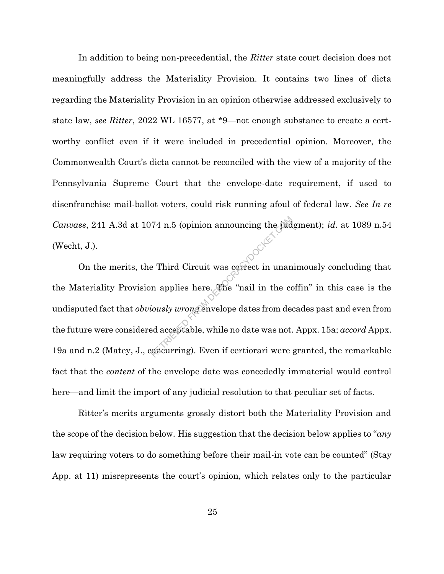In addition to being non-precedential, the *Ritter* state court decision does not meaningfully address the Materiality Provision. It contains two lines of dicta regarding the Materiality Provision in an opinion otherwise addressed exclusively to state law, *see Ritter*, 2022 WL 16577, at \*9—not enough substance to create a certworthy conflict even if it were included in precedential opinion. Moreover, the Commonwealth Court's dicta cannot be reconciled with the view of a majority of the Pennsylvania Supreme Court that the envelope-date requirement, if used to disenfranchise mail-ballot voters, could risk running afoul of federal law. *See In re Canvass*, 241 A.3d at 1074 n.5 (opinion announcing the judgment); *id*. at 1089 n.54 (Wecht, J.).

On the merits, the Third Circuit was correct in unanimously concluding that the Materiality Provision applies here. The "nail in the coffin" in this case is the undisputed fact that *obviously wrong* envelope dates from decades past and even from the future were considered acceptable, while no date was not. Appx. 15a; *accord* Appx. 19a and n.2 (Matey, J., concurring). Even if certiorari were granted, the remarkable fact that the *content* of the envelope date was concededly immaterial would control here—and limit the import of any judicial resolution to that peculiar set of facts. 74 n.5 (opinion announcing the fud<br>
e Third Circuit was correct in unan<br>
n applies here. The "nail in the computer of the "nail in the computer"<br>
divided acceptable, while no date was not.<br>
encurring). Even if certiorari w

Ritter's merits arguments grossly distort both the Materiality Provision and the scope of the decision below. His suggestion that the decision below applies to "*any* law requiring voters to do something before their mail-in vote can be counted" (Stay App. at 11) misrepresents the court's opinion, which relates only to the particular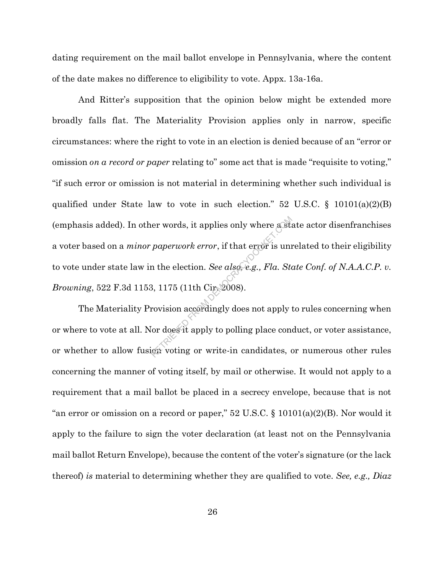dating requirement on the mail ballot envelope in Pennsylvania, where the content of the date makes no difference to eligibility to vote. Appx. 13a-16a.

And Ritter's supposition that the opinion below might be extended more broadly falls flat. The Materiality Provision applies only in narrow, specific circumstances: where the right to vote in an election is denied because of an "error or omission *on a record or paper* relating to" some act that is made "requisite to voting," "if such error or omission is not material in determining whether such individual is qualified under State law to vote in such election." 52 U.S.C.  $\S$  10101(a)(2)(B) (emphasis added). In other words, it applies only where a state actor disenfranchises a voter based on a *minor paperwork error*, if that error is unrelated to their eligibility to vote under state law in the election. *See also, e.g., Fla. State Conf. of N.A.A.C.P. v. Browning*, 522 F.3d 1153, 1175 (11th Cir. 2008). er words, it applies only where asternal properwork error, if that error is unit<br>n the election. See also, e.g., Fla. Sta<br>3, 1175 (11th Cir. 2008).<br>rovision accordingly does not apply to<br>for does it apply to polling place

The Materiality Provision accordingly does not apply to rules concerning when or where to vote at all. Nor does it apply to polling place conduct, or voter assistance, or whether to allow fusion voting or write-in candidates, or numerous other rules concerning the manner of voting itself, by mail or otherwise. It would not apply to a requirement that a mail ballot be placed in a secrecy envelope, because that is not "an error or omission on a record or paper," 52 U.S.C. § 10101(a)(2)(B). Nor would it apply to the failure to sign the voter declaration (at least not on the Pennsylvania mail ballot Return Envelope), because the content of the voter's signature (or the lack thereof) *is* material to determining whether they are qualified to vote. *See, e.g., Diaz*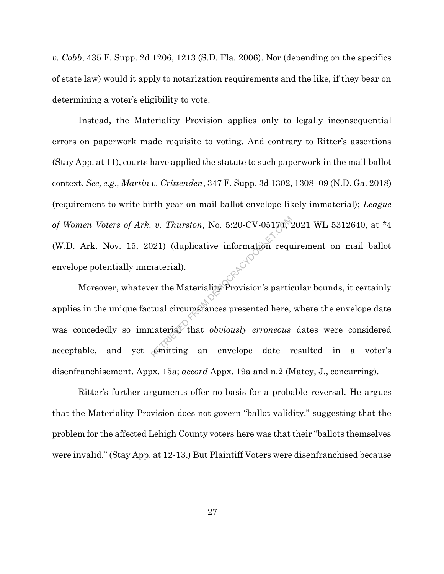*v. Cobb*, 435 F. Supp. 2d 1206, 1213 (S.D. Fla. 2006). Nor (depending on the specifics of state law) would it apply to notarization requirements and the like, if they bear on determining a voter's eligibility to vote.

Instead, the Materiality Provision applies only to legally inconsequential errors on paperwork made requisite to voting. And contrary to Ritter's assertions (Stay App. at 11), courts have applied the statute to such paperwork in the mail ballot context. *See, e.g., Martin v. Crittenden*, 347 F. Supp. 3d 1302, 1308–09 (N.D. Ga. 2018) (requirement to write birth year on mail ballot envelope likely immaterial); *League of Women Voters of Ark. v. Thurston*, No. 5:20-CV-05174, 2021 WL 5312640, at \*4 (W.D. Ark. Nov. 15, 2021) (duplicative information requirement on mail ballot envelope potentially immaterial).

Moreover, whatever the Materiality Provision's particular bounds, it certainly applies in the unique factual circumstances presented here, where the envelope date was concededly so immaterial that *obviously erroneous* dates were considered acceptable, and yet omitting an envelope date resulted in a voter's disenfranchisement. Appx. 15a; *accord* Appx. 19a and n.2 (Matey, J., concurring). v. Thurston, No. 5:20-CV-05174)<br>
(21) (duplicative information requalities)<br>
er the Materiality Provision's partic<br>
tual circumstances presented here,<br>
aterial that *obviously erroneous*<br>
emitting an envelope date referen

Ritter's further arguments offer no basis for a probable reversal. He argues that the Materiality Provision does not govern "ballot validity," suggesting that the problem for the affected Lehigh County voters here was that their "ballots themselves were invalid." (Stay App. at 12-13.) But Plaintiff Voters were disenfranchised because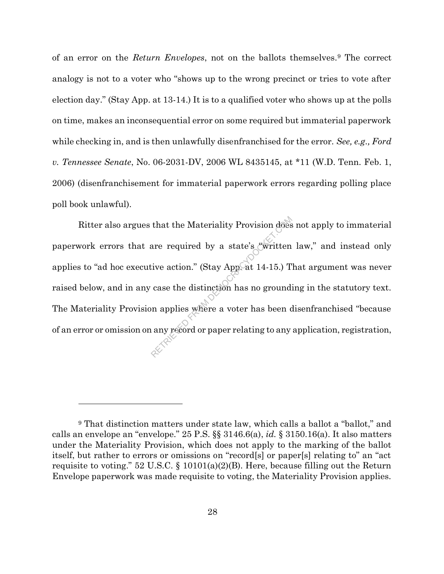of an error on the *Return Envelopes*, not on the ballots themselves.<sup>9</sup> The correct analogy is not to a voter who "shows up to the wrong precinct or tries to vote after election day." (Stay App. at 13-14.) It is to a qualified voter who shows up at the polls on time, makes an inconsequential error on some required but immaterial paperwork while checking in, and is then unlawfully disenfranchised for the error. *See, e.g., Ford v. Tennessee Senate*, No. 06-2031-DV, 2006 WL 8435145, at \*11 (W.D. Tenn. Feb. 1, 2006) (disenfranchisement for immaterial paperwork errors regarding polling place poll book unlawful).

Ritter also argues that the Materiality Provision does not apply to immaterial paperwork errors that are required by a state's "written law," and instead only applies to "ad hoc executive action." (Stay App. at 14-15.) That argument was never raised below, and in any case the distinction has no grounding in the statutory text. The Materiality Provision applies where a voter has been disenfranchised "because of an error or omission on any record or paper relating to any application, registration, that the Materiality Provision does<br>are required by a state's written<br>ive action." (Stay AppCat 14-15.) T<br>case the distinction has no ground:<br>n applies where a voter has been d<br>any record or paper relating to any

<sup>9</sup> That distinction matters under state law, which calls a ballot a "ballot," and calls an envelope an "envelope." 25 P.S. §§ 3146.6(a), *id.* § 3150.16(a). It also matters under the Materiality Provision, which does not apply to the marking of the ballot itself, but rather to errors or omissions on "record[s] or paper[s] relating to" an "act requisite to voting." 52 U.S.C. § 10101(a)(2)(B). Here, because filling out the Return Envelope paperwork was made requisite to voting, the Materiality Provision applies.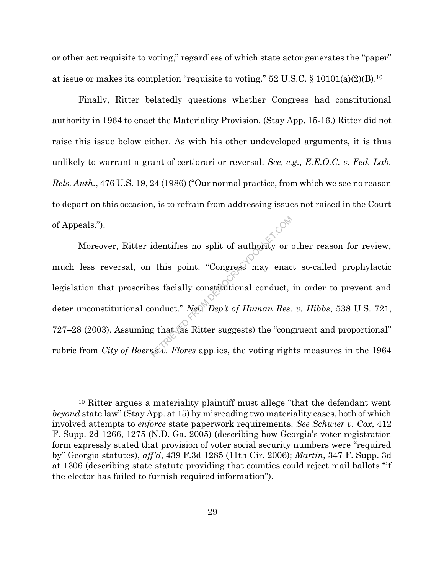or other act requisite to voting," regardless of which state actor generates the "paper" at issue or makes its completion "requisite to voting." 52 U.S.C. § 10101(a)(2)(B). 10

Finally, Ritter belatedly questions whether Congress had constitutional authority in 1964 to enact the Materiality Provision. (Stay App. 15-16.) Ritter did not raise this issue below either. As with his other undeveloped arguments, it is thus unlikely to warrant a grant of certiorari or reversal. *See, e.g., E.E.O.C. v. Fed. Lab. Rels. Auth.*, 476 U.S. 19, 24 (1986) ("Our normal practice, from which we see no reason to depart on this occasion, is to refrain from addressing issues not raised in the Court of Appeals.").

Moreover, Ritter identifies no split of authority or other reason for review, much less reversal, on this point. "Congress may enact so-called prophylactic legislation that proscribes facially constitutional conduct, in order to prevent and deter unconstitutional conduct." *Nev. Dep't of Human Res. v. Hibbs*, 538 U.S. 721, 727–28 (2003). Assuming that (as Ritter suggests) the "congruent and proportional" rubric from *City of Boernev. Flores* applies, the voting rights measures in the 1964 identifies no split of authority or<br>this point. "Congress may enaces facially constitutional conduct,<br>onduct." New Dep't of Human Res.<br>g that (as Ritter suggests) the "congress". Flores applies, the voting right

<sup>10</sup> Ritter argues a materiality plaintiff must allege "that the defendant went *beyond* state law" (Stay App. at 15) by misreading two materiality cases, both of which involved attempts to *enforce* state paperwork requirements. *See Schwier v. Cox*, 412 F. Supp. 2d 1266, 1275 (N.D. Ga. 2005) (describing how Georgia's voter registration form expressly stated that provision of voter social security numbers were "required by" Georgia statutes), *aff'd*, 439 F.3d 1285 (11th Cir. 2006); *Martin*, 347 F. Supp. 3d at 1306 (describing state statute providing that counties could reject mail ballots "if the elector has failed to furnish required information").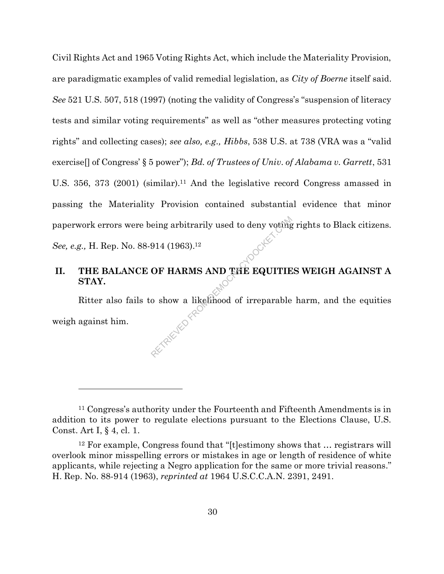Civil Rights Act and 1965 Voting Rights Act, which include the Materiality Provision, are paradigmatic examples of valid remedial legislation, as *City of Boerne* itself said. *See* 521 U.S. 507, 518 (1997) (noting the validity of Congress's "suspension of literacy tests and similar voting requirements" as well as "other measures protecting voting rights" and collecting cases); *see also, e.g., Hibbs*, 538 U.S. at 738 (VRA was a "valid exercise[] of Congress' § 5 power"); *Bd. of Trustees of Univ. of Alabama v. Garrett*, 531 U.S. 356, 373 (2001) (similar).<sup>11</sup> And the legislative record Congress amassed in passing the Materiality Provision contained substantial evidence that minor paperwork errors were being arbitrarily used to deny voting rights to Black citizens. *See, e.g.,* H. Rep. No. 88-914 (1963). 12 eing arbitrarily used to deny voting<br>914 (1963).<sup>12</sup><br>OF HARMS AND THE EQUITIE<br>o show a likelihood of irreparable

# **II. THE BALANCE OF HARMS AND THE EQUITIES WEIGH AGAINST A STAY.**

Ritter also fails to show a likelihood of irreparable harm, and the equities weigh against him.

<sup>11</sup> Congress's authority under the Fourteenth and Fifteenth Amendments is in addition to its power to regulate elections pursuant to the Elections Clause, U.S. Const. Art I, § 4, cl. 1.

<sup>12</sup> For example, Congress found that "[t]estimony shows that … registrars will overlook minor misspelling errors or mistakes in age or length of residence of white applicants, while rejecting a Negro application for the same or more trivial reasons." H. Rep. No. 88-914 (1963), *reprinted at* 1964 U.S.C.C.A.N. 2391, 2491.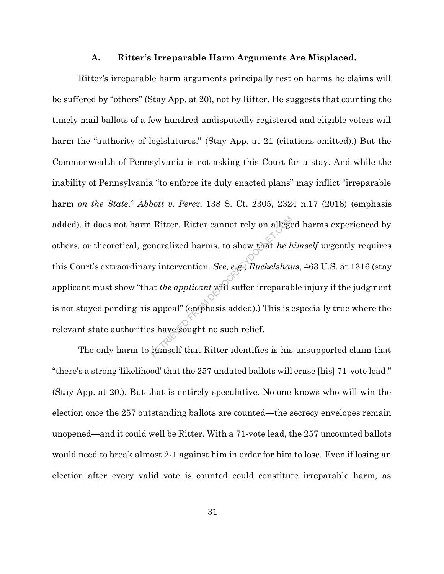#### **A. Ritter's Irreparable Harm Arguments Are Misplaced.**

Ritter's irreparable harm arguments principally rest on harms he claims will be suffered by "others" (Stay App. at 20), not by Ritter. He suggests that counting the timely mail ballots of a few hundred undisputedly registered and eligible voters will harm the "authority of legislatures." (Stay App. at 21 (citations omitted).) But the Commonwealth of Pennsylvania is not asking this Court for a stay. And while the inability of Pennsylvania "to enforce its duly enacted plans" may inflict "irreparable harm *on the State*," *Abbott v. Perez*, 138 S. Ct. 2305, 2324 n.17 (2018) (emphasis added), it does not harm Ritter. Ritter cannot rely on alleged harms experienced by others, or theoretical, generalized harms, to show that *he himself* urgently requires this Court's extraordinary intervention. *See, e.g., Ruckelshaus*, 463 U.S. at 1316 (stay applicant must show "that *the applicant* will suffer irreparable injury if the judgment is not stayed pending his appeal" (emphasis added).) This is especially true where the relevant state authorities have sought no such relief. Ritter. Ritter cannot rely on allege<br>neralized harms, to show that he h<br>ry intervention. See, e.g., Ruckelshat<br>at the applicant will suffer irreparal<br>appeal" (emphasis added).) This is e<br>s have sought no such relief.<br>hims

The only harm to himself that Ritter identifies is his unsupported claim that "there's a strong 'likelihood' that the 257 undated ballots will erase [his] 71-vote lead." (Stay App. at 20.). But that is entirely speculative. No one knows who will win the election once the 257 outstanding ballots are counted—the secrecy envelopes remain unopened—and it could well be Ritter. With a 71-vote lead, the 257 uncounted ballots would need to break almost 2-1 against him in order for him to lose. Even if losing an election after every valid vote is counted could constitute irreparable harm, as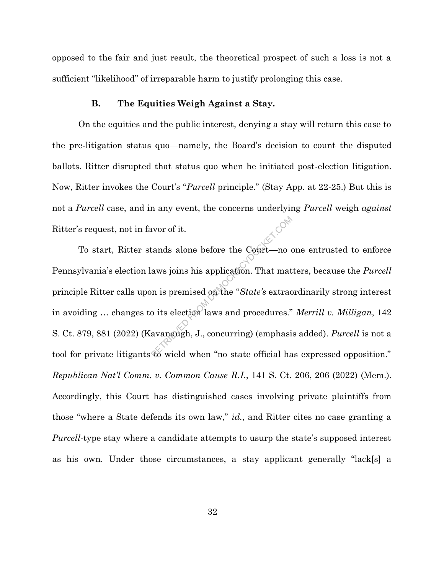opposed to the fair and just result, the theoretical prospect of such a loss is not a sufficient "likelihood" of irreparable harm to justify prolonging this case.

#### **B. The Equities Weigh Against a Stay.**

On the equities and the public interest, denying a stay will return this case to the pre-litigation status quo—namely, the Board's decision to count the disputed ballots. Ritter disrupted that status quo when he initiated post-election litigation. Now, Ritter invokes the Court's "*Purcell* principle." (Stay App. at 22-25.) But this is not a *Purcell* case, and in any event, the concerns underlying *Purcell* weigh *against* Ritter's request, not in favor of it.

To start, Ritter stands alone before the Court—no one entrusted to enforce Pennsylvania's election laws joins his application. That matters, because the *Purcell* principle Ritter calls upon is premised on the "*State's* extraordinarily strong interest in avoiding … changes to its election laws and procedures." *Merrill v. Milligan*, 142 S. Ct. 879, 881 (2022) (Kavanaugh, J., concurring) (emphasis added). *Purcell* is not a tool for private litigants to wield when "no state official has expressed opposition." *Republican Nat'l Comm. v. Common Cause R.I.*, 141 S. Ct. 206, 206 (2022) (Mem.). Accordingly, this Court has distinguished cases involving private plaintiffs from those "where a State defends its own law," *id.*, and Ritter cites no case granting a *Purcell*-type stay where a candidate attempts to usurp the state's supposed interest as his own. Under those circumstances, a stay applicant generally "lack[s] a At tands alone before the Court—no of a was joins his application. That mat<br>aws joins his application. That mat<br>on is premised on the "*State's* extrace<br>o its election laws and procedures."<br>avanaugh, J., concurring) (emph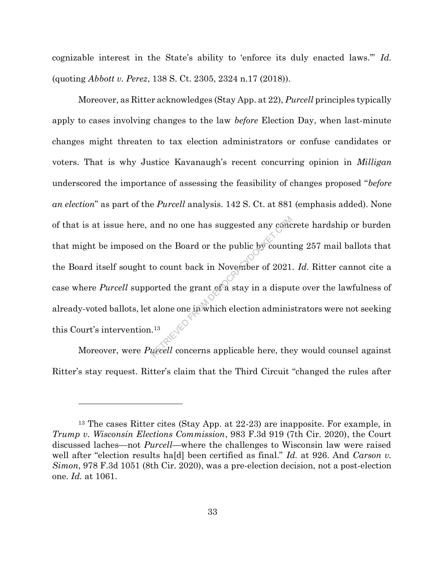cognizable interest in the State's ability to 'enforce its duly enacted laws.'" *Id.* (quoting *Abbott v. Perez*, 138 S. Ct. 2305, 2324 n.17 (2018)).

Moreover, as Ritter acknowledges (Stay App. at 22), *Purcell* principles typically apply to cases involving changes to the law *before* Election Day, when last-minute changes might threaten to tax election administrators or confuse candidates or voters. That is why Justice Kavanaugh's recent concurring opinion in *Milligan* underscored the importance of assessing the feasibility of changes proposed "*before an election*" as part of the *Purcell* analysis. 142 S. Ct. at 881 (emphasis added). None of that is at issue here, and no one has suggested any concrete hardship or burden that might be imposed on the Board or the public by counting 257 mail ballots that the Board itself sought to count back in November of 2021. *Id*. Ritter cannot cite a case where *Purcell* supported the grant of a stay in a dispute over the lawfulness of already-voted ballots, let alone one in which election administrators were not seeking this Court's intervention.<sup>13</sup> and no one has suggested any concern<br>
In the Board or the public by countitive count back in November of 2021<br>
orted the grant of a stay in a disputadore one in which election adminis<br>
...<br>  $^{13}$ 

Moreover, were *Purcell* concerns applicable here, they would counsel against Ritter's stay request. Ritter's claim that the Third Circuit "changed the rules after

<sup>13</sup> The cases Ritter cites (Stay App. at 22-23) are inapposite. For example, in *Trump v. Wisconsin Elections Commission*, 983 F.3d 919 (7th Cir. 2020), the Court discussed laches—not *Purcell*—where the challenges to Wisconsin law were raised well after "election results ha<sup>[d]</sup> been certified as final." *Id.* at 926. And *Carson v. Simon*, 978 F.3d 1051 (8th Cir. 2020), was a pre-election decision, not a post-election one. *Id.* at 1061.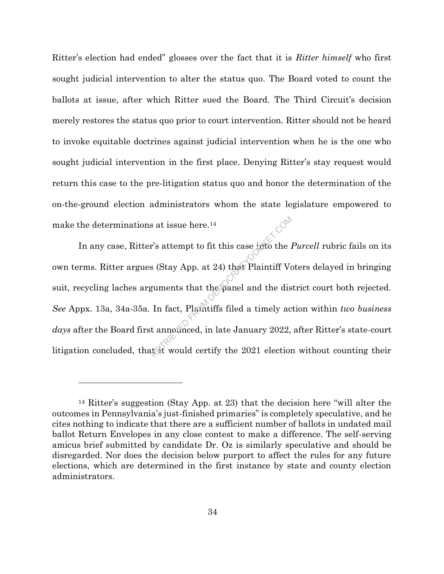Ritter's election had ended" glosses over the fact that it is *Ritter himself* who first sought judicial intervention to alter the status quo. The Board voted to count the ballots at issue, after which Ritter sued the Board. The Third Circuit's decision merely restores the status quo prior to court intervention. Ritter should not be heard to invoke equitable doctrines against judicial intervention when he is the one who sought judicial intervention in the first place. Denying Ritter's stay request would return this case to the pre-litigation status quo and honor the determination of the on-the-ground election administrators whom the state legislature empowered to make the determinations at issue here.<sup>14</sup>

In any case, Ritter's attempt to fit this case into the *Purcell* rubric fails on its own terms. Ritter argues (Stay App. at 24) that Plaintiff Voters delayed in bringing suit, recycling laches arguments that the panel and the district court both rejected. *See* Appx. 13a, 34a-35a. In fact, Plaintiffs filed a timely action within *two business days* after the Board first announced, in late January 2022, after Ritter's state-court litigation concluded, that it would certify the 2021 election without counting their  $R^2$  is attempt to fit this case into the is<br>s (Stay App. at 24) that Plaintiff Vo<br>guments that the panel and the dis<br>In fact, Plantiffs filed a timely ac<br>t annetwiced, in late January 2022,<br>twould certify the 2021 elect

<sup>14</sup> Ritter's suggestion (Stay App. at 23) that the decision here "will alter the outcomes in Pennsylvania's just-finished primaries" is completely speculative, and he cites nothing to indicate that there are a sufficient number of ballots in undated mail ballot Return Envelopes in any close contest to make a difference. The self-serving amicus brief submitted by candidate Dr. Oz is similarly speculative and should be disregarded. Nor does the decision below purport to affect the rules for any future elections, which are determined in the first instance by state and county election administrators.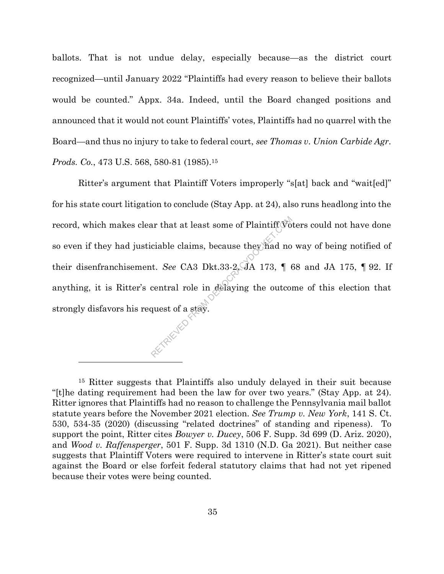ballots. That is not undue delay, especially because—as the district court recognized—until January 2022 "Plaintiffs had every reason to believe their ballots would be counted." Appx. 34a. Indeed, until the Board changed positions and announced that it would not count Plaintiffs' votes, Plaintiffs had no quarrel with the Board—and thus no injury to take to federal court, *see Thomas v. Union Carbide Agr. Prods. Co.*, 473 U.S. 568, 580-81 (1985). 15

Ritter's argument that Plaintiff Voters improperly "s[at] back and "wait[ed]" for his state court litigation to conclude (Stay App. at 24), also runs headlong into the record, which makes clear that at least some of Plaintiff Voters could not have done so even if they had justiciable claims, because they had no way of being notified of their disenfranchisement. *See* CA3 Dkt.33-2, JA 173, ¶ 68 and JA 175, ¶ 92. If anything, it is Ritter's central role in delaying the outcome of this election that strongly disfavors his request of a stay. ar that at least some of Plaintiff  $\sqrt[3]{\circ}$ <br>ciable claims, because they had no<br>it. See CA3 Dkt.33-2. JA 173,  $\P$  (<br>central role in delaying the outcom<br>quest of a stay.

<sup>15</sup> Ritter suggests that Plaintiffs also unduly delayed in their suit because "[t]he dating requirement had been the law for over two years." (Stay App. at 24). Ritter ignores that Plaintiffs had no reason to challenge the Pennsylvania mail ballot statute years before the November 2021 election. *See Trump v. New York*, 141 S. Ct. 530, 534-35 (2020) (discussing "related doctrines" of standing and ripeness). To support the point, Ritter cites *Bowyer v. Ducey*, 506 F. Supp. 3d 699 (D. Ariz. 2020), and *Wood v. Raffensperger*, 501 F. Supp. 3d 1310 (N.D. Ga 2021). But neither case suggests that Plaintiff Voters were required to intervene in Ritter's state court suit against the Board or else forfeit federal statutory claims that had not yet ripened because their votes were being counted.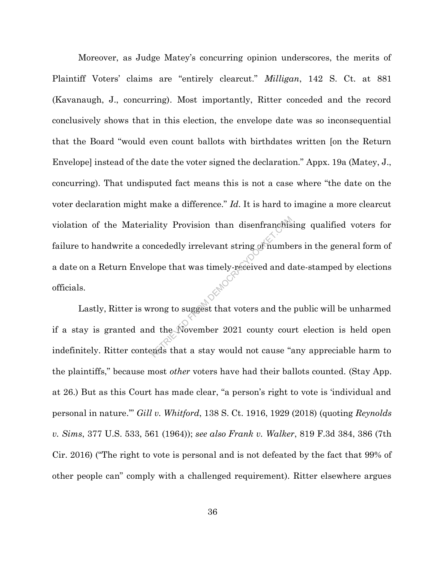Moreover, as Judge Matey's concurring opinion underscores, the merits of Plaintiff Voters' claims are "entirely clearcut." *Milligan*, 142 S. Ct. at 881 (Kavanaugh, J., concurring). Most importantly, Ritter conceded and the record conclusively shows that in this election, the envelope date was so inconsequential that the Board "would even count ballots with birthdates written [on the Return Envelope] instead of the date the voter signed the declaration." Appx. 19a (Matey, J., concurring). That undisputed fact means this is not a case where "the date on the voter declaration might make a difference." *Id*. It is hard to imagine a more clearcut violation of the Materiality Provision than disenfranchising qualified voters for failure to handwrite a concededly irrelevant string of numbers in the general form of a date on a Return Envelope that was timely-received and date-stamped by elections officials. ality Provision than disenfranchis<br>ncededly irrelevant string of number<br>lope that was timely-received and d<br>rong to suggest that voters and the<br>d the November 2021 county counts<br>ands that a stay would not cause "a

Lastly, Ritter is wrong to suggest that voters and the public will be unharmed if a stay is granted and the November 2021 county court election is held open indefinitely. Ritter contends that a stay would not cause "any appreciable harm to the plaintiffs," because most *other* voters have had their ballots counted. (Stay App. at 26.) But as this Court has made clear, "a person's right to vote is 'individual and personal in nature.'" *Gill v. Whitford*, 138 S. Ct. 1916, 1929 (2018) (quoting *Reynolds v. Sims*, 377 U.S. 533, 561 (1964)); *see also Frank v. Walker*, 819 F.3d 384, 386 (7th Cir. 2016) ("The right to vote is personal and is not defeated by the fact that 99% of other people can" comply with a challenged requirement). Ritter elsewhere argues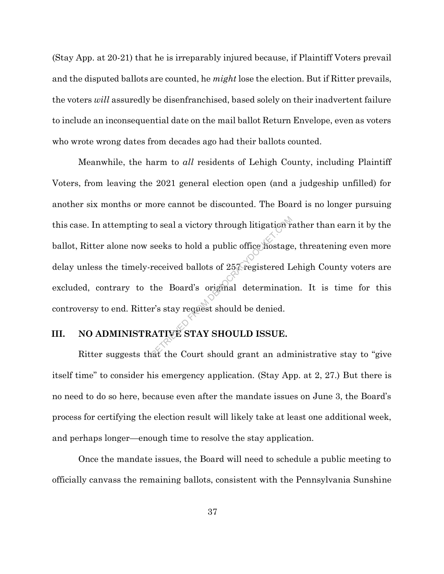(Stay App. at 20-21) that he is irreparably injured because, if Plaintiff Voters prevail and the disputed ballots are counted, he *might* lose the election. But if Ritter prevails, the voters *will* assuredly be disenfranchised, based solely on their inadvertent failure to include an inconsequential date on the mail ballot Return Envelope, even as voters who wrote wrong dates from decades ago had their ballots counted.

Meanwhile, the harm to *all* residents of Lehigh County, including Plaintiff Voters, from leaving the 2021 general election open (and a judgeship unfilled) for another six months or more cannot be discounted. The Board is no longer pursuing this case. In attempting to seal a victory through litigation rather than earn it by the ballot, Ritter alone now seeks to hold a public office hostage, threatening even more delay unless the timely-received ballots of 257 registered Lehigh County voters are excluded, contrary to the Board's original determination. It is time for this controversy to end. Ritter's stay request should be denied. to seal a victory through litigation r<br>seeks to hold a public office hostage<br>received ballots of 257 registered L<br>the Board's original determinatic<br>r's stay request should be denied.<br>ATIVE STAY SHOULD ISSUE.<br>Rat the Court

## **III. NO ADMINISTRATIVE STAY SHOULD ISSUE.**

Ritter suggests that the Court should grant an administrative stay to "give itself time" to consider his emergency application. (Stay App. at 2, 27.) But there is no need to do so here, because even after the mandate issues on June 3, the Board's process for certifying the election result will likely take at least one additional week, and perhaps longer—enough time to resolve the stay application.

Once the mandate issues, the Board will need to schedule a public meeting to officially canvass the remaining ballots, consistent with the Pennsylvania Sunshine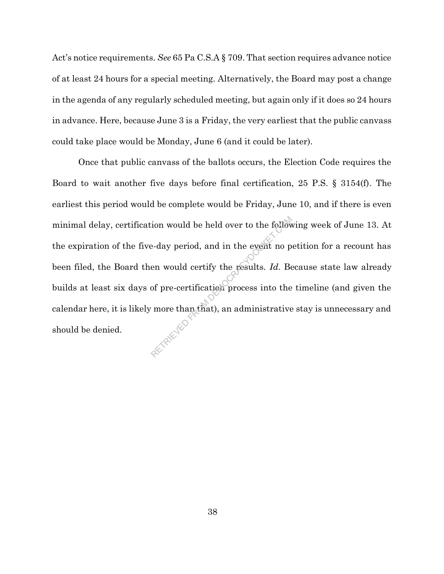Act's notice requirements. *See* 65 Pa C.S.A § 709. That section requires advance notice of at least 24 hours for a special meeting. Alternatively, the Board may post a change in the agenda of any regularly scheduled meeting, but again only if it does so 24 hours in advance. Here, because June 3 is a Friday, the very earliest that the public canvass could take place would be Monday, June 6 (and it could be later).

Once that public canvass of the ballots occurs, the Election Code requires the Board to wait another five days before final certification, 25 P.S. § 3154(f). The earliest this period would be complete would be Friday, June 10, and if there is even minimal delay, certification would be held over to the following week of June 13. At the expiration of the five-day period, and in the event no petition for a recount has been filed, the Board then would certify the results. *Id*. Because state law already builds at least six days of pre-certification process into the timeline (and given the calendar here, it is likely more than that), an administrative stay is unnecessary and should be denied. should be denied. From would be held over to the follow<br>B-day period, and in the event no p<br>en would certify the results. Id. Be<br>of pre-certification process into the<br>more than that), an administrative